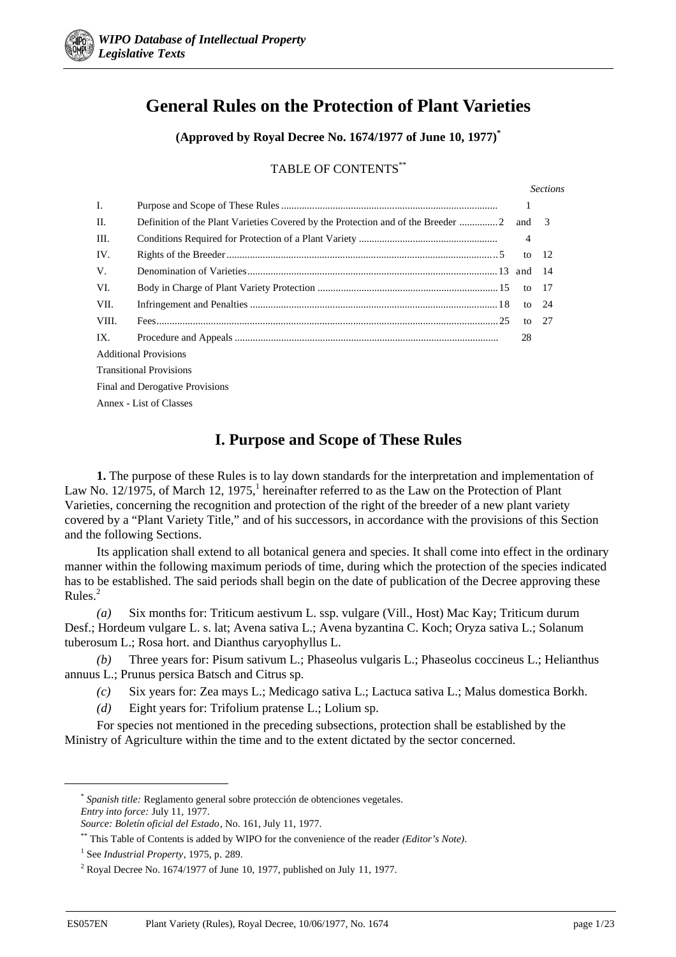

# **General Rules on the Protection of Plant Varieties**

**(Approved by Royal Decree No. 1674/1977 of June 10, 1977)\***

TABLE OF CONTENTS\*\*

|                                 |  |         | <b>Sections</b> |
|---------------------------------|--|---------|-----------------|
| I.                              |  | 1       |                 |
| $\Pi$ .                         |  |         |                 |
| III.                            |  | 4       |                 |
| IV.                             |  | to      | - 12            |
| V.                              |  |         | - 14            |
| VI.                             |  | to      | - 17            |
| VII.                            |  | to $24$ |                 |
| VIII.                           |  | to      | -27             |
| IX.                             |  | 28      |                 |
| <b>Additional Provisions</b>    |  |         |                 |
| <b>Transitional Provisions</b>  |  |         |                 |
| Final and Derogative Provisions |  |         |                 |
| Annex - List of Classes         |  |         |                 |
|                                 |  |         |                 |

# **I. Purpose and Scope of These Rules**

**1.** The purpose of these Rules is to lay down standards for the interpretation and implementation of Law No. 12/1975, of March 12, 1975,<sup>1</sup> hereinafter referred to as the Law on the Protection of Plant Varieties, concerning the recognition and protection of the right of the breeder of a new plant variety covered by a "Plant Variety Title," and of his successors, in accordance with the provisions of this Section and the following Sections.

Its application shall extend to all botanical genera and species. It shall come into effect in the ordinary manner within the following maximum periods of time, during which the protection of the species indicated has to be established. The said periods shall begin on the date of publication of the Decree approving these  $Rules<sup>2</sup>$ 

*(a)* Six months for: Triticum aestivum L. ssp. vulgare (Vill., Host) Mac Kay; Triticum durum Desf.; Hordeum vulgare L. s. lat; Avena sativa L.; Avena byzantina C. Koch; Oryza sativa L.; Solanum tuberosum L.; Rosa hort. and Dianthus caryophyllus L.

*(b)* Three years for: Pisum sativum L.; Phaseolus vulgaris L.; Phaseolus coccineus L.; Helianthus annuus L.; Prunus persica Batsch and Citrus sp.

- *(c)* Six years for: Zea mays L.; Medicago sativa L.; Lactuca sativa L.; Malus domestica Borkh.
- *(d)* Eight years for: Trifolium pratense L.; Lolium sp.

For species not mentioned in the preceding subsections, protection shall be established by the Ministry of Agriculture within the time and to the extent dictated by the sector concerned.

 <sup>\*</sup> *Spanish title:* Reglamento general sobre protección de obtenciones vegetales. *Entry into force:* July 11, 1977.

*Source: Boletín oficial del Estado*, No. 161, July 11, 1977.

<sup>\*\*</sup> This Table of Contents is added by WIPO for the convenience of the reader *(Editor's Note)*.

<sup>1</sup> See *Industrial Property*, 1975, p. 289.

<sup>&</sup>lt;sup>2</sup> Royal Decree No. 1674/1977 of June 10, 1977, published on July 11, 1977.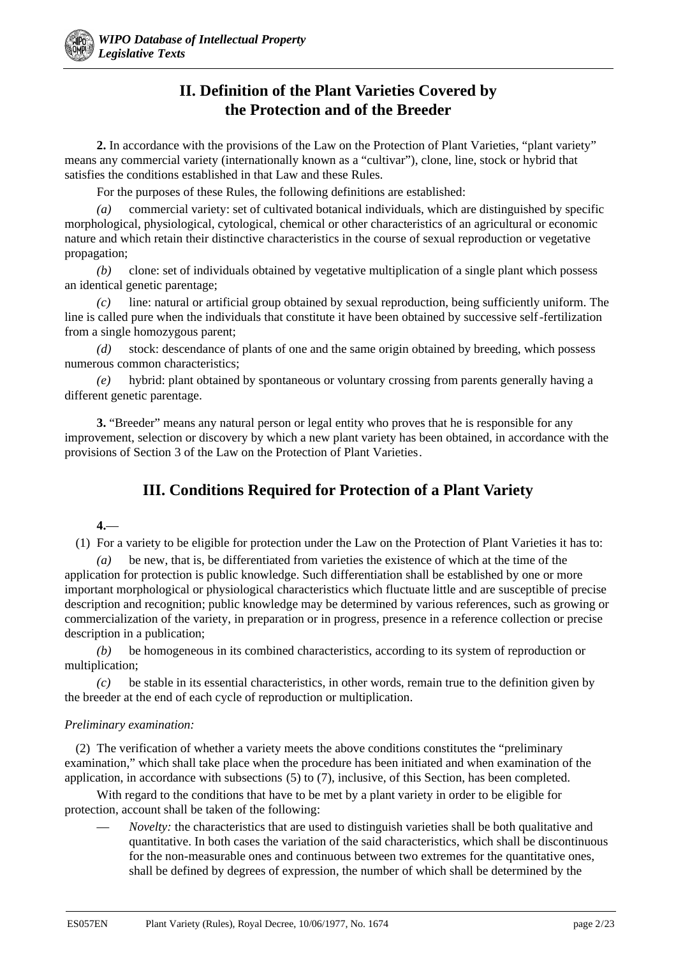## **II. Definition of the Plant Varieties Covered by the Protection and of the Breeder**

**2.** In accordance with the provisions of the Law on the Protection of Plant Varieties, "plant variety" means any commercial variety (internationally known as a "cultivar"), clone, line, stock or hybrid that satisfies the conditions established in that Law and these Rules.

For the purposes of these Rules, the following definitions are established:

*(a)* commercial variety: set of cultivated botanical individuals, which are distinguished by specific morphological, physiological, cytological, chemical or other characteristics of an agricultural or economic nature and which retain their distinctive characteristics in the course of sexual reproduction or vegetative propagation;

*(b)* clone: set of individuals obtained by vegetative multiplication of a single plant which possess an identical genetic parentage;

*(c)* line: natural or artificial group obtained by sexual reproduction, being sufficiently uniform. The line is called pure when the individuals that constitute it have been obtained by successive self-fertilization from a single homozygous parent;

*(d)* stock: descendance of plants of one and the same origin obtained by breeding, which possess numerous common characteristics;

*(e)* hybrid: plant obtained by spontaneous or voluntary crossing from parents generally having a different genetic parentage.

**3.** "Breeder" means any natural person or legal entity who proves that he is responsible for any improvement, selection or discovery by which a new plant variety has been obtained, in accordance with the provisions of Section 3 of the Law on the Protection of Plant Varieties.

# **III. Conditions Required for Protection of a Plant Variety**

## **4.**—

(1) For a variety to be eligible for protection under the Law on the Protection of Plant Varieties it has to:

*(a)* be new, that is, be differentiated from varieties the existence of which at the time of the application for protection is public knowledge. Such differentiation shall be established by one or more important morphological or physiological characteristics which fluctuate little and are susceptible of precise description and recognition; public knowledge may be determined by various references, such as growing or commercialization of the variety, in preparation or in progress, presence in a reference collection or precise description in a publication;

*(b)* be homogeneous in its combined characteristics, according to its system of reproduction or multiplication;

*(c)* be stable in its essential characteristics, in other words, remain true to the definition given by the breeder at the end of each cycle of reproduction or multiplication.

### *Preliminary examination:*

(2) The verification of whether a variety meets the above conditions constitutes the "preliminary examination," which shall take place when the procedure has been initiated and when examination of the application, in accordance with subsections (5) to (7), inclusive, of this Section, has been completed.

With regard to the conditions that have to be met by a plant variety in order to be eligible for protection, account shall be taken of the following:

— *Novelty:* the characteristics that are used to distinguish varieties shall be both qualitative and quantitative. In both cases the variation of the said characteristics, which shall be discontinuous for the non-measurable ones and continuous between two extremes for the quantitative ones, shall be defined by degrees of expression, the number of which shall be determined by the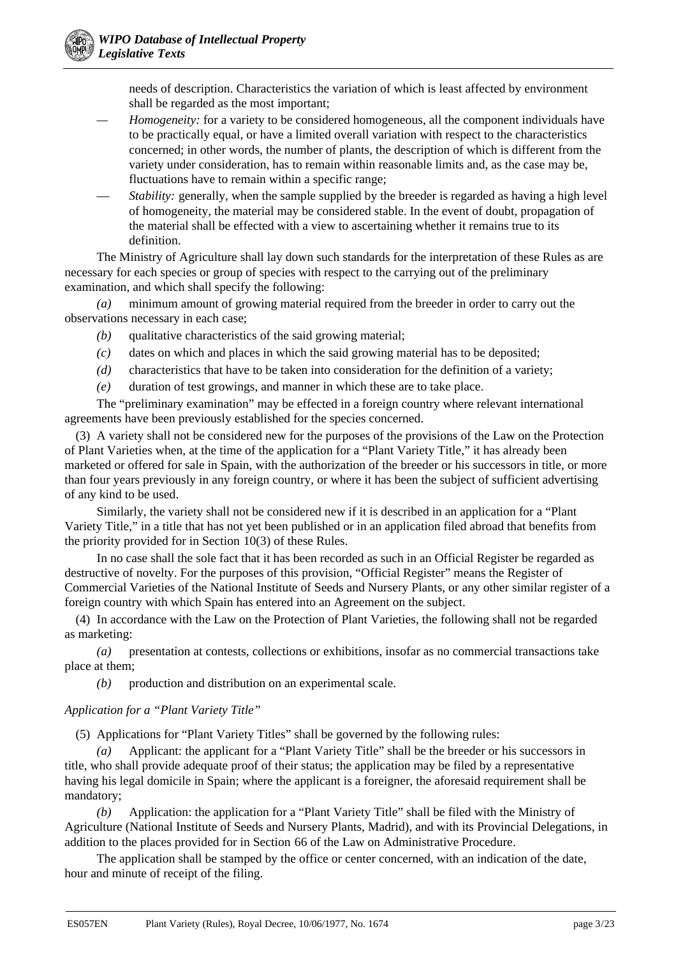needs of description. Characteristics the variation of which is least affected by environment shall be regarded as the most important;

- *Homogeneity:* for a variety to be considered homogeneous, all the component individuals have to be practically equal, or have a limited overall variation with respect to the characteristics concerned; in other words, the number of plants, the description of which is different from the variety under consideration, has to remain within reasonable limits and, as the case may be, fluctuations have to remain within a specific range;
- *Stability:* generally, when the sample supplied by the breeder is regarded as having a high level of homogeneity, the material may be considered stable. In the event of doubt, propagation of the material shall be effected with a view to ascertaining whether it remains true to its definition.

The Ministry of Agriculture shall lay down such standards for the interpretation of these Rules as are necessary for each species or group of species with respect to the carrying out of the preliminary examination, and which shall specify the following:

*(a)* minimum amount of growing material required from the breeder in order to carry out the observations necessary in each case;

- *(b)* qualitative characteristics of the said growing material;
- *(c)* dates on which and places in which the said growing material has to be deposited;
- *(d)* characteristics that have to be taken into consideration for the definition of a variety;
- *(e)* duration of test growings, and manner in which these are to take place.

The "preliminary examination" may be effected in a foreign country where relevant international agreements have been previously established for the species concerned.

(3) A variety shall not be considered new for the purposes of the provisions of the Law on the Protection of Plant Varieties when, at the time of the application for a "Plant Variety Title," it has already been marketed or offered for sale in Spain, with the authorization of the breeder or his successors in title, or more than four years previously in any foreign country, or where it has been the subject of sufficient advertising of any kind to be used.

Similarly, the variety shall not be considered new if it is described in an application for a "Plant Variety Title," in a title that has not yet been published or in an application filed abroad that benefits from the priority provided for in Section 10(3) of these Rules.

In no case shall the sole fact that it has been recorded as such in an Official Register be regarded as destructive of novelty. For the purposes of this provision, "Official Register" means the Register of Commercial Varieties of the National Institute of Seeds and Nursery Plants, or any other similar register of a foreign country with which Spain has entered into an Agreement on the subject.

(4) In accordance with the Law on the Protection of Plant Varieties, the following shall not be regarded as marketing:

*(a)* presentation at contests, collections or exhibitions, insofar as no commercial transactions take place at them;

*(b)* production and distribution on an experimental scale.

### *Application for a "Plant Variety Title"*

(5) Applications for "Plant Variety Titles" shall be governed by the following rules:

*(a)* Applicant: the applicant for a "Plant Variety Title" shall be the breeder or his successors in title, who shall provide adequate proof of their status; the application may be filed by a representative having his legal domicile in Spain; where the applicant is a foreigner, the aforesaid requirement shall be mandatory;

*(b)* Application: the application for a "Plant Variety Title" shall be filed with the Ministry of Agriculture (National Institute of Seeds and Nursery Plants, Madrid), and with its Provincial Delegations, in addition to the places provided for in Section 66 of the Law on Administrative Procedure.

The application shall be stamped by the office or center concerned, with an indication of the date, hour and minute of receipt of the filing.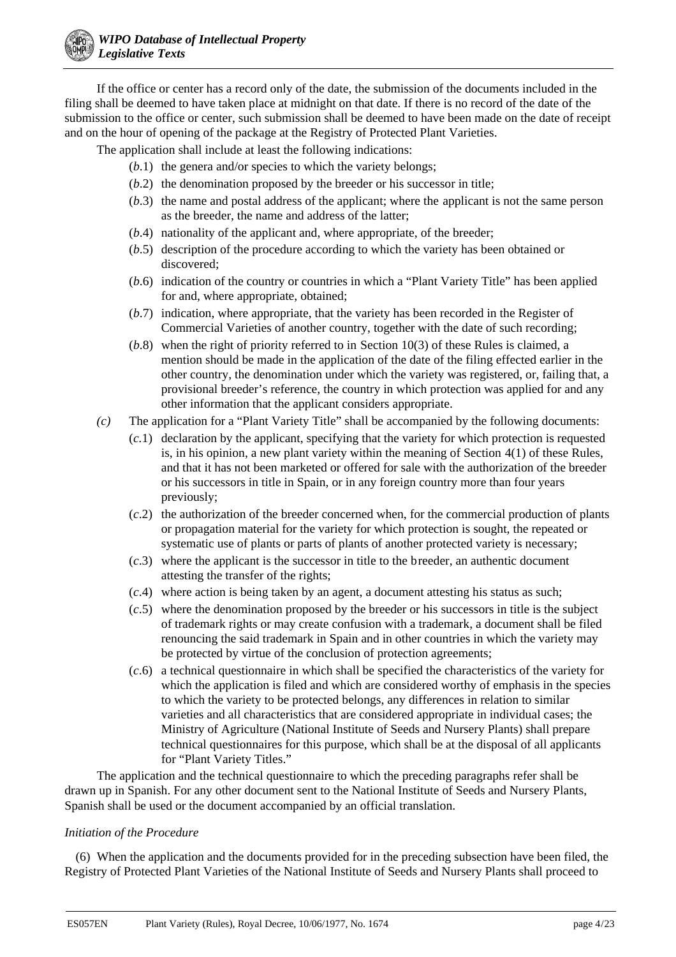If the office or center has a record only of the date, the submission of the documents included in the filing shall be deemed to have taken place at midnight on that date. If there is no record of the date of the submission to the office or center, such submission shall be deemed to have been made on the date of receipt and on the hour of opening of the package at the Registry of Protected Plant Varieties.

The application shall include at least the following indications:

- (*b*.1) the genera and/or species to which the variety belongs;
- (*b*.2) the denomination proposed by the breeder or his successor in title;
- (*b*.3) the name and postal address of the applicant; where the applicant is not the same person as the breeder, the name and address of the latter;
- (*b*.4) nationality of the applicant and, where appropriate, of the breeder;
- (*b*.5) description of the procedure according to which the variety has been obtained or discovered;
- (*b*.6) indication of the country or countries in which a "Plant Variety Title" has been applied for and, where appropriate, obtained;
- (*b*.7) indication, where appropriate, that the variety has been recorded in the Register of Commercial Varieties of another country, together with the date of such recording;
- (*b*.8) when the right of priority referred to in Section 10(3) of these Rules is claimed, a mention should be made in the application of the date of the filing effected earlier in the other country, the denomination under which the variety was registered, or, failing that, a provisional breeder's reference, the country in which protection was applied for and any other information that the applicant considers appropriate.
- *(c)* The application for a "Plant Variety Title" shall be accompanied by the following documents:
	- (*c.*1) declaration by the applicant, specifying that the variety for which protection is requested is, in his opinion, a new plant variety within the meaning of Section 4(1) of these Rules, and that it has not been marketed or offered for sale with the authorization of the breeder or his successors in title in Spain, or in any foreign country more than four years previously;
	- (*c*.2) the authorization of the breeder concerned when, for the commercial production of plants or propagation material for the variety for which protection is sought, the repeated or systematic use of plants or parts of plants of another protected variety is necessary;
	- (*c*.3) where the applicant is the successor in title to the breeder, an authentic document attesting the transfer of the rights;
	- (*c*.4) where action is being taken by an agent, a document attesting his status as such;
	- (*c*.5) where the denomination proposed by the breeder or his successors in title is the subject of trademark rights or may create confusion with a trademark, a document shall be filed renouncing the said trademark in Spain and in other countries in which the variety may be protected by virtue of the conclusion of protection agreements;
	- (*c*.6) a technical questionnaire in which shall be specified the characteristics of the variety for which the application is filed and which are considered worthy of emphasis in the species to which the variety to be protected belongs, any differences in relation to similar varieties and all characteristics that are considered appropriate in individual cases; the Ministry of Agriculture (National Institute of Seeds and Nursery Plants) shall prepare technical questionnaires for this purpose, which shall be at the disposal of all applicants for "Plant Variety Titles."

The application and the technical questionnaire to which the preceding paragraphs refer shall be drawn up in Spanish. For any other document sent to the National Institute of Seeds and Nursery Plants, Spanish shall be used or the document accompanied by an official translation.

## *Initiation of the Procedure*

(6) When the application and the documents provided for in the preceding subsection have been filed, the Registry of Protected Plant Varieties of the National Institute of Seeds and Nursery Plants shall proceed to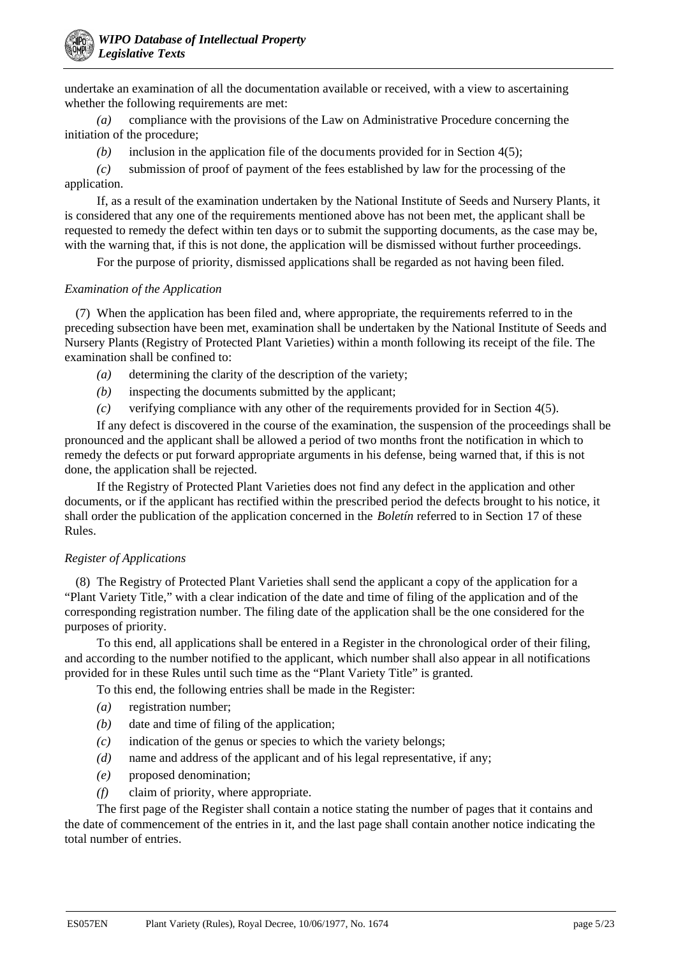undertake an examination of all the documentation available or received, with a view to ascertaining whether the following requirements are met:

*(a)* compliance with the provisions of the Law on Administrative Procedure concerning the initiation of the procedure;

*(b)* inclusion in the application file of the documents provided for in Section 4(5);

*(c)* submission of proof of payment of the fees established by law for the processing of the application.

If, as a result of the examination undertaken by the National Institute of Seeds and Nursery Plants, it is considered that any one of the requirements mentioned above has not been met, the applicant shall be requested to remedy the defect within ten days or to submit the supporting documents, as the case may be, with the warning that, if this is not done, the application will be dismissed without further proceedings.

For the purpose of priority, dismissed applications shall be regarded as not having been filed.

### *Examination of the Application*

(7) When the application has been filed and, where appropriate, the requirements referred to in the preceding subsection have been met, examination shall be undertaken by the National Institute of Seeds and Nursery Plants (Registry of Protected Plant Varieties) within a month following its receipt of the file. The examination shall be confined to:

- *(a)* determining the clarity of the description of the variety;
- *(b)* inspecting the documents submitted by the applicant;
- *(c)* verifying compliance with any other of the requirements provided for in Section 4(5).

If any defect is discovered in the course of the examination, the suspension of the proceedings shall be pronounced and the applicant shall be allowed a period of two months front the notification in which to remedy the defects or put forward appropriate arguments in his defense, being warned that, if this is not done, the application shall be rejected.

If the Registry of Protected Plant Varieties does not find any defect in the application and other documents, or if the applicant has rectified within the prescribed period the defects brought to his notice, it shall order the publication of the application concerned in the *Boletín* referred to in Section 17 of these Rules.

### *Register of Applications*

(8) The Registry of Protected Plant Varieties shall send the applicant a copy of the application for a "Plant Variety Title," with a clear indication of the date and time of filing of the application and of the corresponding registration number. The filing date of the application shall be the one considered for the purposes of priority.

To this end, all applications shall be entered in a Register in the chronological order of their filing, and according to the number notified to the applicant, which number shall also appear in all notifications provided for in these Rules until such time as the "Plant Variety Title" is granted.

To this end, the following entries shall be made in the Register:

- *(a)* registration number;
- *(b)* date and time of filing of the application;
- *(c)* indication of the genus or species to which the variety belongs;
- *(d)* name and address of the applicant and of his legal representative, if any;
- *(e)* proposed denomination;
- *(f)* claim of priority, where appropriate.

The first page of the Register shall contain a notice stating the number of pages that it contains and the date of commencement of the entries in it, and the last page shall contain another notice indicating the total number of entries.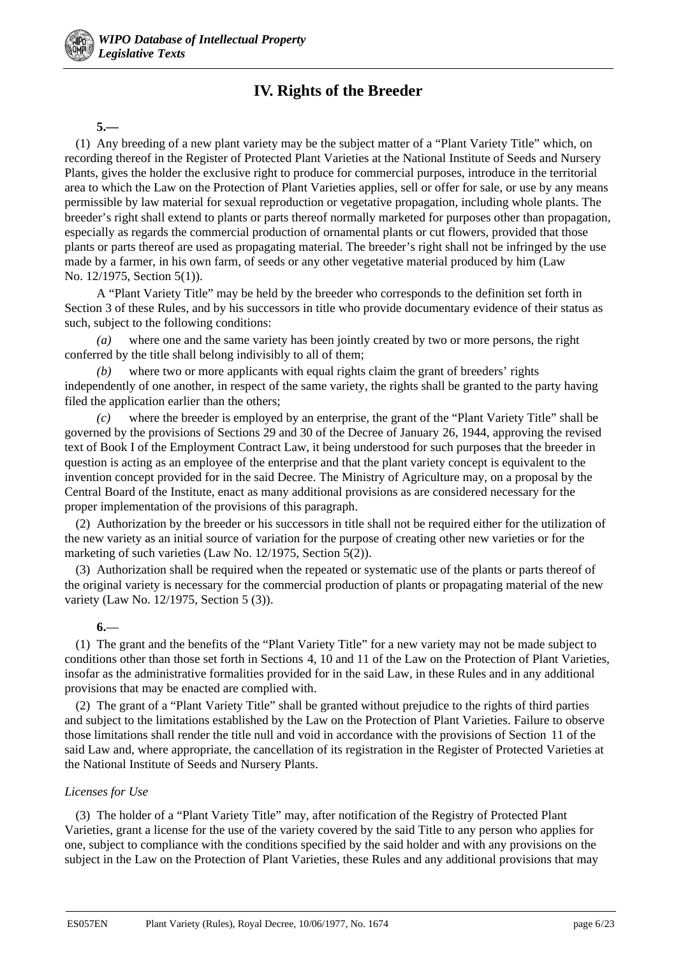# **IV. Rights of the Breeder**

#### **5.—**

(1) Any breeding of a new plant variety may be the subject matter of a "Plant Variety Title" which, on recording thereof in the Register of Protected Plant Varieties at the National Institute of Seeds and Nursery Plants, gives the holder the exclusive right to produce for commercial purposes, introduce in the territorial area to which the Law on the Protection of Plant Varieties applies, sell or offer for sale, or use by any means permissible by law material for sexual reproduction or vegetative propagation, including whole plants. The breeder's right shall extend to plants or parts thereof normally marketed for purposes other than propagation, especially as regards the commercial production of ornamental plants or cut flowers, provided that those plants or parts thereof are used as propagating material. The breeder's right shall not be infringed by the use made by a farmer, in his own farm, of seeds or any other vegetative material produced by him (Law No. 12/1975, Section 5(1)).

A "Plant Variety Title" may be held by the breeder who corresponds to the definition set forth in Section 3 of these Rules, and by his successors in title who provide documentary evidence of their status as such, subject to the following conditions:

*(a)* where one and the same variety has been jointly created by two or more persons, the right conferred by the title shall belong indivisibly to all of them;

*(b)* where two or more applicants with equal rights claim the grant of breeders' rights independently of one another, in respect of the same variety, the rights shall be granted to the party having filed the application earlier than the others;

*(c)* where the breeder is employed by an enterprise, the grant of the "Plant Variety Title" shall be governed by the provisions of Sections 29 and 30 of the Decree of January 26, 1944, approving the revised text of Book I of the Employment Contract Law, it being understood for such purposes that the breeder in question is acting as an employee of the enterprise and that the plant variety concept is equivalent to the invention concept provided for in the said Decree. The Ministry of Agriculture may, on a proposal by the Central Board of the Institute, enact as many additional provisions as are considered necessary for the proper implementation of the provisions of this paragraph.

(2) Authorization by the breeder or his successors in title shall not be required either for the utilization of the new variety as an initial source of variation for the purpose of creating other new varieties or for the marketing of such varieties (Law No. 12/1975, Section 5(2)).

(3) Authorization shall be required when the repeated or systematic use of the plants or parts thereof of the original variety is necessary for the commercial production of plants or propagating material of the new variety (Law No. 12/1975, Section 5 (3)).

### **6.**—

(1) The grant and the benefits of the "Plant Variety Title" for a new variety may not be made subject to conditions other than those set forth in Sections 4, 10 and 11 of the Law on the Protection of Plant Varieties, insofar as the administrative formalities provided for in the said Law, in these Rules and in any additional provisions that may be enacted are complied with.

(2) The grant of a "Plant Variety Title" shall be granted without prejudice to the rights of third parties and subject to the limitations established by the Law on the Protection of Plant Varieties. Failure to observe those limitations shall render the title null and void in accordance with the provisions of Section 11 of the said Law and, where appropriate, the cancellation of its registration in the Register of Protected Varieties at the National Institute of Seeds and Nursery Plants.

### *Licenses for Use*

(3) The holder of a "Plant Variety Title" may, after notification of the Registry of Protected Plant Varieties, grant a license for the use of the variety covered by the said Title to any person who applies for one, subject to compliance with the conditions specified by the said holder and with any provisions on the subject in the Law on the Protection of Plant Varieties, these Rules and any additional provisions that may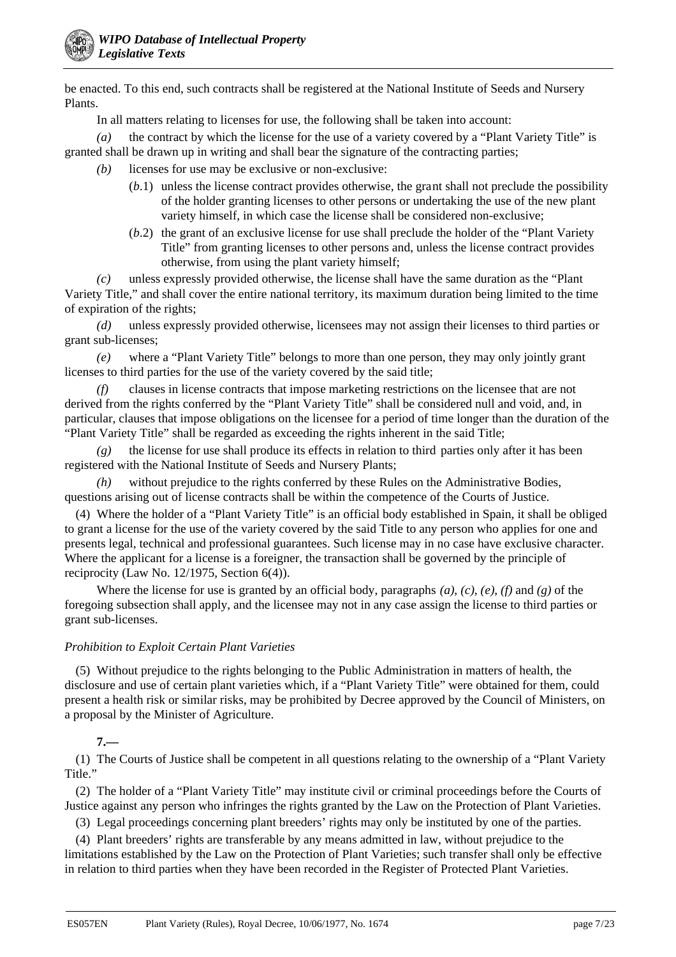be enacted. To this end, such contracts shall be registered at the National Institute of Seeds and Nursery Plants.

In all matters relating to licenses for use, the following shall be taken into account:

*(a)* the contract by which the license for the use of a variety covered by a "Plant Variety Title" is granted shall be drawn up in writing and shall bear the signature of the contracting parties;

- *(b)* licenses for use may be exclusive or non-exclusive:
	- (*b*.1) unless the license contract provides otherwise, the grant shall not preclude the possibility of the holder granting licenses to other persons or undertaking the use of the new plant variety himself, in which case the license shall be considered non-exclusive;
	- (*b*.2) the grant of an exclusive license for use shall preclude the holder of the "Plant Variety Title" from granting licenses to other persons and, unless the license contract provides otherwise, from using the plant variety himself;

*(c)* unless expressly provided otherwise, the license shall have the same duration as the "Plant Variety Title," and shall cover the entire national territory, its maximum duration being limited to the time of expiration of the rights;

*(d)* unless expressly provided otherwise, licensees may not assign their licenses to third parties or grant sub-licenses;

*(e)* where a "Plant Variety Title" belongs to more than one person, they may only jointly grant licenses to third parties for the use of the variety covered by the said title;

*(f)* clauses in license contracts that impose marketing restrictions on the licensee that are not derived from the rights conferred by the "Plant Variety Title" shall be considered null and void, and, in particular, clauses that impose obligations on the licensee for a period of time longer than the duration of the "Plant Variety Title" shall be regarded as exceeding the rights inherent in the said Title;

*(g)* the license for use shall produce its effects in relation to third parties only after it has been registered with the National Institute of Seeds and Nursery Plants;

*(h)* without prejudice to the rights conferred by these Rules on the Administrative Bodies, questions arising out of license contracts shall be within the competence of the Courts of Justice.

(4) Where the holder of a "Plant Variety Title" is an official body established in Spain, it shall be obliged to grant a license for the use of the variety covered by the said Title to any person who applies for one and presents legal, technical and professional guarantees. Such license may in no case have exclusive character. Where the applicant for a license is a foreigner, the transaction shall be governed by the principle of reciprocity (Law No. 12/1975, Section 6(4)).

Where the license for use is granted by an official body, paragraphs *(a)*, *(c)*, *(e)*, *(f)* and *(g)* of the foregoing subsection shall apply, and the licensee may not in any case assign the license to third parties or grant sub-licenses.

## *Prohibition to Exploit Certain Plant Varieties*

(5) Without prejudice to the rights belonging to the Public Administration in matters of health, the disclosure and use of certain plant varieties which, if a "Plant Variety Title" were obtained for them, could present a health risk or similar risks, may be prohibited by Decree approved by the Council of Ministers, on a proposal by the Minister of Agriculture.

## **7.—**

(1) The Courts of Justice shall be competent in all questions relating to the ownership of a "Plant Variety Title."

(2) The holder of a "Plant Variety Title" may institute civil or criminal proceedings before the Courts of Justice against any person who infringes the rights granted by the Law on the Protection of Plant Varieties.

(3) Legal proceedings concerning plant breeders' rights may only be instituted by one of the parties.

(4) Plant breeders' rights are transferable by any means admitted in law, without prejudice to the limitations established by the Law on the Protection of Plant Varieties; such transfer shall only be effective in relation to third parties when they have been recorded in the Register of Protected Plant Varieties.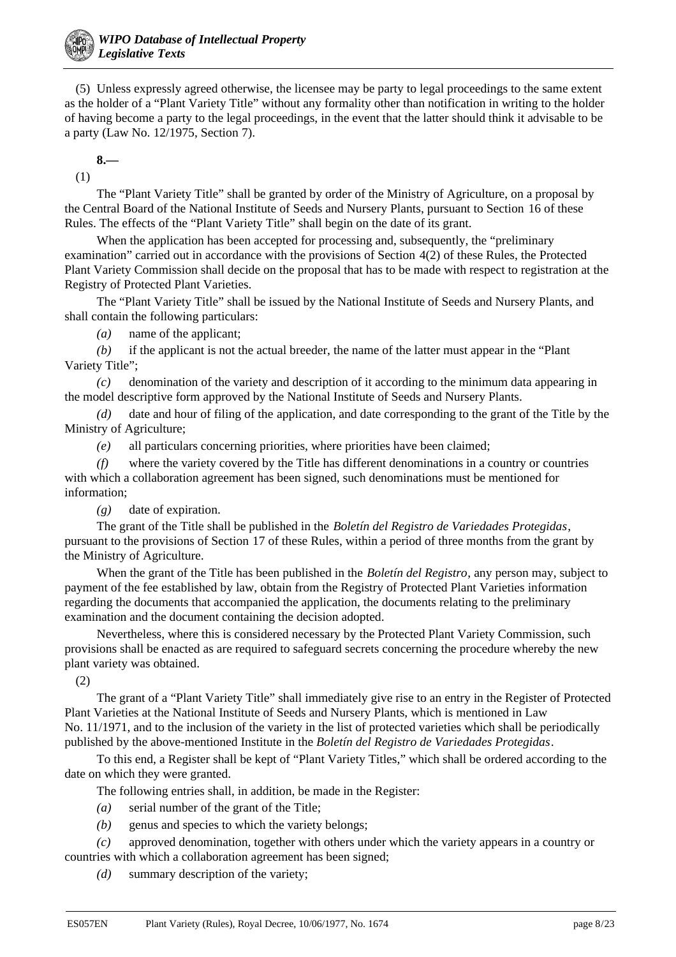(5) Unless expressly agreed otherwise, the licensee may be party to legal proceedings to the same extent as the holder of a "Plant Variety Title" without any formality other than notification in writing to the holder of having become a party to the legal proceedings, in the event that the latter should think it advisable to be a party (Law No. 12/1975, Section 7).

**8.—** (1)

The "Plant Variety Title" shall be granted by order of the Ministry of Agriculture, on a proposal by the Central Board of the National Institute of Seeds and Nursery Plants, pursuant to Section 16 of these Rules. The effects of the "Plant Variety Title" shall begin on the date of its grant.

When the application has been accepted for processing and, subsequently, the "preliminary examination" carried out in accordance with the provisions of Section 4(2) of these Rules, the Protected Plant Variety Commission shall decide on the proposal that has to be made with respect to registration at the Registry of Protected Plant Varieties.

The "Plant Variety Title" shall be issued by the National Institute of Seeds and Nursery Plants, and shall contain the following particulars:

*(a)* name of the applicant;

*(b)* if the applicant is not the actual breeder, the name of the latter must appear in the "Plant Variety Title";

*(c)* denomination of the variety and description of it according to the minimum data appearing in the model descriptive form approved by the National Institute of Seeds and Nursery Plants.

*(d)* date and hour of filing of the application, and date corresponding to the grant of the Title by the Ministry of Agriculture;

*(e)* all particulars concerning priorities, where priorities have been claimed;

*(f)* where the variety covered by the Title has different denominations in a country or countries with which a collaboration agreement has been signed, such denominations must be mentioned for information;

*(g)* date of expiration.

The grant of the Title shall be published in the *Boletín del Registro de Variedades Protegidas*, pursuant to the provisions of Section 17 of these Rules, within a period of three months from the grant by the Ministry of Agriculture.

When the grant of the Title has been published in the *Boletín del Registro*, any person may, subject to payment of the fee established by law, obtain from the Registry of Protected Plant Varieties information regarding the documents that accompanied the application, the documents relating to the preliminary examination and the document containing the decision adopted.

Nevertheless, where this is considered necessary by the Protected Plant Variety Commission, such provisions shall be enacted as are required to safeguard secrets concerning the procedure whereby the new plant variety was obtained.

(2)

The grant of a "Plant Variety Title" shall immediately give rise to an entry in the Register of Protected Plant Varieties at the National Institute of Seeds and Nursery Plants, which is mentioned in Law No. 11/1971, and to the inclusion of the variety in the list of protected varieties which shall be periodically published by the above-mentioned Institute in the *Boletín del Registro de Variedades Protegidas*.

To this end, a Register shall be kept of "Plant Variety Titles," which shall be ordered according to the date on which they were granted.

The following entries shall, in addition, be made in the Register:

- *(a)* serial number of the grant of the Title;
- *(b)* genus and species to which the variety belongs;

*(c)* approved denomination, together with others under which the variety appears in a country or countries with which a collaboration agreement has been signed;

*(d)* summary description of the variety;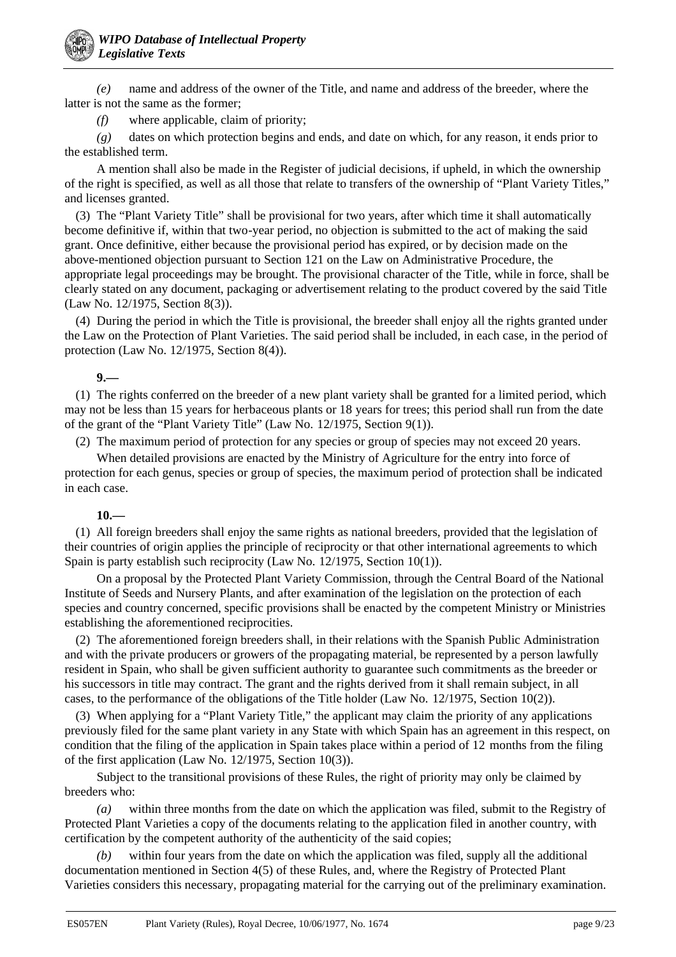*(e)* name and address of the owner of the Title, and name and address of the breeder, where the latter is not the same as the former;

*(f)* where applicable, claim of priority;

*(g)* dates on which protection begins and ends, and date on which, for any reason, it ends prior to the established term.

A mention shall also be made in the Register of judicial decisions, if upheld, in which the ownership of the right is specified, as well as all those that relate to transfers of the ownership of "Plant Variety Titles," and licenses granted.

(3) The "Plant Variety Title" shall be provisional for two years, after which time it shall automatically become definitive if, within that two-year period, no objection is submitted to the act of making the said grant. Once definitive, either because the provisional period has expired, or by decision made on the above-mentioned objection pursuant to Section 121 on the Law on Administrative Procedure, the appropriate legal proceedings may be brought. The provisional character of the Title, while in force, shall be clearly stated on any document, packaging or advertisement relating to the product covered by the said Title (Law No. 12/1975, Section 8(3)).

(4) During the period in which the Title is provisional, the breeder shall enjoy all the rights granted under the Law on the Protection of Plant Varieties. The said period shall be included, in each case, in the period of protection (Law No. 12/1975, Section 8(4)).

**9.—**

(1) The rights conferred on the breeder of a new plant variety shall be granted for a limited period, which may not be less than 15 years for herbaceous plants or 18 years for trees; this period shall run from the date of the grant of the "Plant Variety Title" (Law No. 12/1975, Section 9(1)).

(2) The maximum period of protection for any species or group of species may not exceed 20 years.

When detailed provisions are enacted by the Ministry of Agriculture for the entry into force of protection for each genus, species or group of species, the maximum period of protection shall be indicated in each case.

## **10.—**

(1) All foreign breeders shall enjoy the same rights as national breeders, provided that the legislation of their countries of origin applies the principle of reciprocity or that other international agreements to which Spain is party establish such reciprocity (Law No. 12/1975, Section 10(1)).

On a proposal by the Protected Plant Variety Commission, through the Central Board of the National Institute of Seeds and Nursery Plants, and after examination of the legislation on the protection of each species and country concerned, specific provisions shall be enacted by the competent Ministry or Ministries establishing the aforementioned reciprocities.

(2) The aforementioned foreign breeders shall, in their relations with the Spanish Public Administration and with the private producers or growers of the propagating material, be represented by a person lawfully resident in Spain, who shall be given sufficient authority to guarantee such commitments as the breeder or his successors in title may contract. The grant and the rights derived from it shall remain subject, in all cases, to the performance of the obligations of the Title holder (Law No. 12/1975, Section 10(2)).

(3) When applying for a "Plant Variety Title," the applicant may claim the priority of any applications previously filed for the same plant variety in any State with which Spain has an agreement in this respect, on condition that the filing of the application in Spain takes place within a period of 12 months from the filing of the first application (Law No. 12/1975, Section 10(3)).

Subject to the transitional provisions of these Rules, the right of priority may only be claimed by breeders who:

*(a)* within three months from the date on which the application was filed, submit to the Registry of Protected Plant Varieties a copy of the documents relating to the application filed in another country, with certification by the competent authority of the authenticity of the said copies;

*(b)* within four years from the date on which the application was filed, supply all the additional documentation mentioned in Section 4(5) of these Rules, and, where the Registry of Protected Plant Varieties considers this necessary, propagating material for the carrying out of the preliminary examination.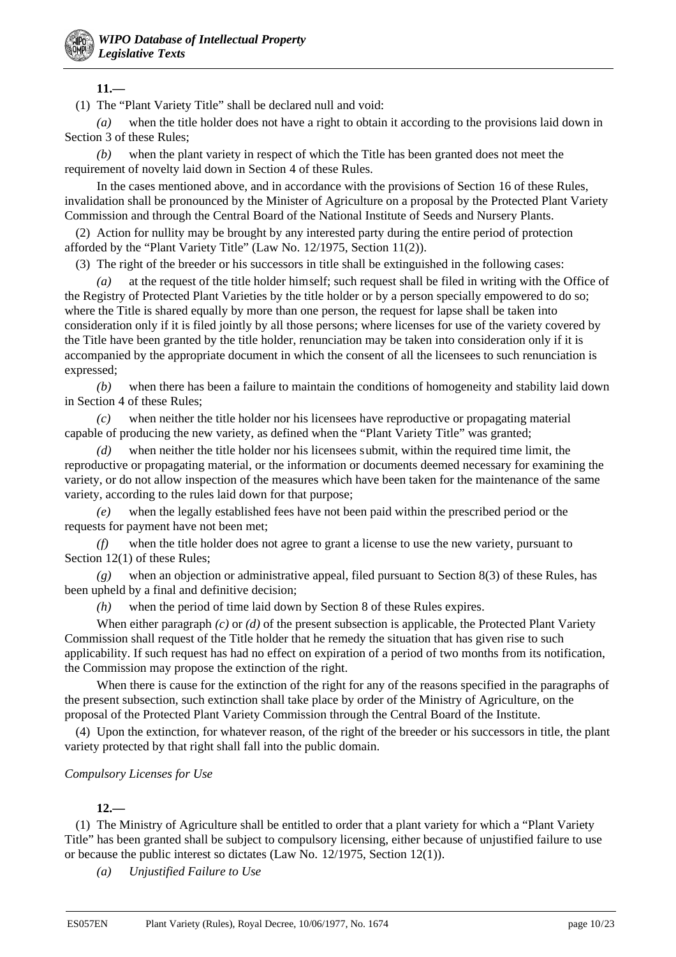**11.—**

(1) The "Plant Variety Title" shall be declared null and void:

*(a)* when the title holder does not have a right to obtain it according to the provisions laid down in Section 3 of these Rules;

*(b)* when the plant variety in respect of which the Title has been granted does not meet the requirement of novelty laid down in Section 4 of these Rules.

In the cases mentioned above, and in accordance with the provisions of Section 16 of these Rules, invalidation shall be pronounced by the Minister of Agriculture on a proposal by the Protected Plant Variety Commission and through the Central Board of the National Institute of Seeds and Nursery Plants.

(2) Action for nullity may be brought by any interested party during the entire period of protection afforded by the "Plant Variety Title" (Law No. 12/1975, Section 11(2)).

(3) The right of the breeder or his successors in title shall be extinguished in the following cases:

*(a)* at the request of the title holder himself; such request shall be filed in writing with the Office of the Registry of Protected Plant Varieties by the title holder or by a person specially empowered to do so; where the Title is shared equally by more than one person, the request for lapse shall be taken into consideration only if it is filed jointly by all those persons; where licenses for use of the variety covered by the Title have been granted by the title holder, renunciation may be taken into consideration only if it is accompanied by the appropriate document in which the consent of all the licensees to such renunciation is expressed;

*(b)* when there has been a failure to maintain the conditions of homogeneity and stability laid down in Section 4 of these Rules;

*(c)* when neither the title holder nor his licensees have reproductive or propagating material capable of producing the new variety, as defined when the "Plant Variety Title" was granted;

*(d)* when neither the title holder nor his licensees submit, within the required time limit, the reproductive or propagating material, or the information or documents deemed necessary for examining the variety, or do not allow inspection of the measures which have been taken for the maintenance of the same variety, according to the rules laid down for that purpose;

*(e)* when the legally established fees have not been paid within the prescribed period or the requests for payment have not been met;

*(f)* when the title holder does not agree to grant a license to use the new variety, pursuant to Section 12(1) of these Rules;

*(g)* when an objection or administrative appeal, filed pursuant to Section 8(3) of these Rules, has been upheld by a final and definitive decision;

*(h)* when the period of time laid down by Section 8 of these Rules expires.

When either paragraph *(c)* or *(d)* of the present subsection is applicable, the Protected Plant Variety Commission shall request of the Title holder that he remedy the situation that has given rise to such applicability. If such request has had no effect on expiration of a period of two months from its notification, the Commission may propose the extinction of the right.

When there is cause for the extinction of the right for any of the reasons specified in the paragraphs of the present subsection, such extinction shall take place by order of the Ministry of Agriculture, on the proposal of the Protected Plant Variety Commission through the Central Board of the Institute.

(4) Upon the extinction, for whatever reason, of the right of the breeder or his successors in title, the plant variety protected by that right shall fall into the public domain.

### *Compulsory Licenses for Use*

### **12.—**

(1) The Ministry of Agriculture shall be entitled to order that a plant variety for which a "Plant Variety Title" has been granted shall be subject to compulsory licensing, either because of unjustified failure to use or because the public interest so dictates (Law No. 12/1975, Section 12(1)).

*(a) Unjustified Failure to Use*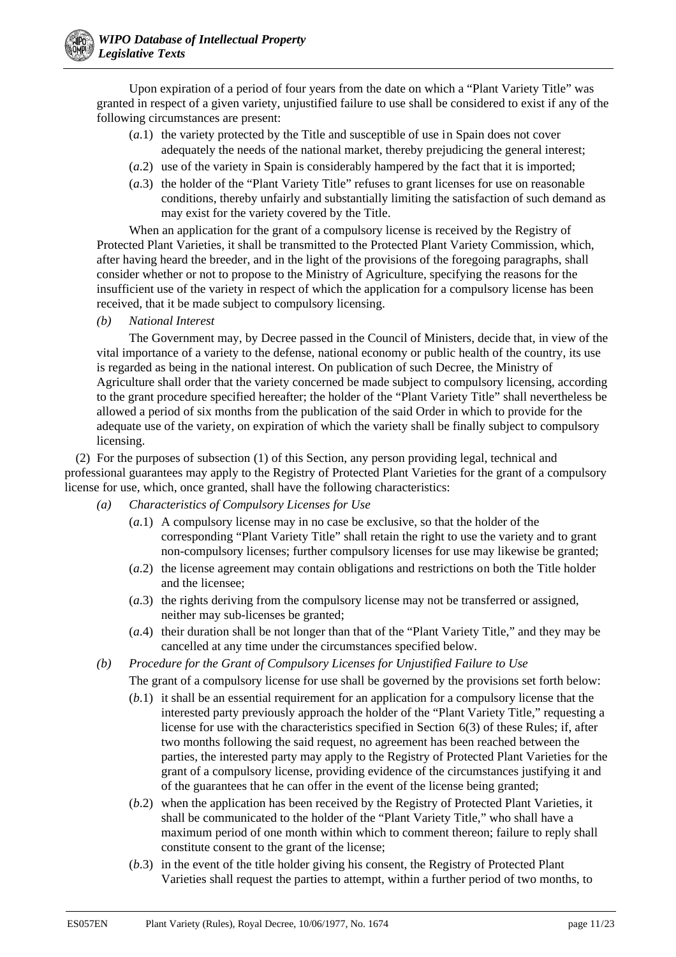Upon expiration of a period of four years from the date on which a "Plant Variety Title" was granted in respect of a given variety, unjustified failure to use shall be considered to exist if any of the following circumstances are present:

- (*a*.1) the variety protected by the Title and susceptible of use in Spain does not cover adequately the needs of the national market, thereby prejudicing the general interest;
- (*a*.2) use of the variety in Spain is considerably hampered by the fact that it is imported;
- (*a*.3) the holder of the "Plant Variety Title" refuses to grant licenses for use on reasonable conditions, thereby unfairly and substantially limiting the satisfaction of such demand as may exist for the variety covered by the Title.

When an application for the grant of a compulsory license is received by the Registry of Protected Plant Varieties, it shall be transmitted to the Protected Plant Variety Commission, which, after having heard the breeder, and in the light of the provisions of the foregoing paragraphs, shall consider whether or not to propose to the Ministry of Agriculture, specifying the reasons for the insufficient use of the variety in respect of which the application for a compulsory license has been received, that it be made subject to compulsory licensing.

*(b) National Interest*

The Government may, by Decree passed in the Council of Ministers, decide that, in view of the vital importance of a variety to the defense, national economy or public health of the country, its use is regarded as being in the national interest. On publication of such Decree, the Ministry of Agriculture shall order that the variety concerned be made subject to compulsory licensing, according to the grant procedure specified hereafter; the holder of the "Plant Variety Title" shall nevertheless be allowed a period of six months from the publication of the said Order in which to provide for the adequate use of the variety, on expiration of which the variety shall be finally subject to compulsory licensing.

(2) For the purposes of subsection (1) of this Section, any person providing legal, technical and professional guarantees may apply to the Registry of Protected Plant Varieties for the grant of a compulsory license for use, which, once granted, shall have the following characteristics:

- *(a) Characteristics of Compulsory Licenses for Use*
	- (*a*.1) A compulsory license may in no case be exclusive, so that the holder of the corresponding "Plant Variety Title" shall retain the right to use the variety and to grant non-compulsory licenses; further compulsory licenses for use may likewise be granted;
	- (*a*.2) the license agreement may contain obligations and restrictions on both the Title holder and the licensee;
	- (*a*.3) the rights deriving from the compulsory license may not be transferred or assigned, neither may sub-licenses be granted;
	- (*a*.4) their duration shall be not longer than that of the "Plant Variety Title," and they may be cancelled at any time under the circumstances specified below.
- *(b) Procedure for the Grant of Compulsory Licenses for Unjustified Failure to Use*

The grant of a compulsory license for use shall be governed by the provisions set forth below:

- (*b*.1) it shall be an essential requirement for an application for a compulsory license that the interested party previously approach the holder of the "Plant Variety Title," requesting a license for use with the characteristics specified in Section 6(3) of these Rules; if, after two months following the said request, no agreement has been reached between the parties, the interested party may apply to the Registry of Protected Plant Varieties for the grant of a compulsory license, providing evidence of the circumstances justifying it and of the guarantees that he can offer in the event of the license being granted;
- (*b*.2) when the application has been received by the Registry of Protected Plant Varieties, it shall be communicated to the holder of the "Plant Variety Title," who shall have a maximum period of one month within which to comment thereon; failure to reply shall constitute consent to the grant of the license;
- (*b*.3) in the event of the title holder giving his consent, the Registry of Protected Plant Varieties shall request the parties to attempt, within a further period of two months, to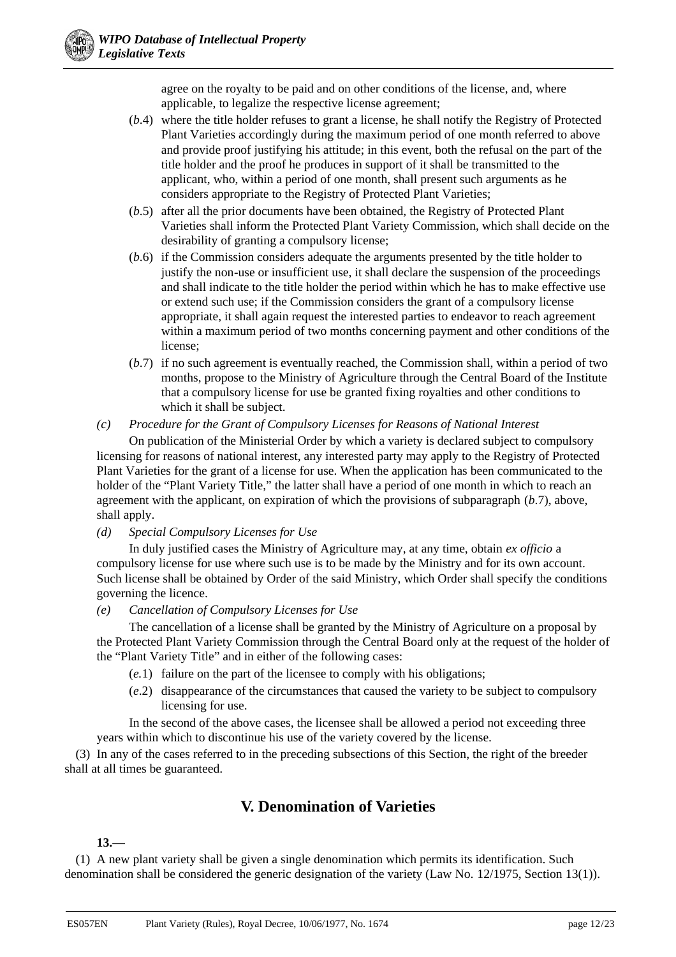agree on the royalty to be paid and on other conditions of the license, and, where applicable, to legalize the respective license agreement;

- (*b*.4) where the title holder refuses to grant a license, he shall notify the Registry of Protected Plant Varieties accordingly during the maximum period of one month referred to above and provide proof justifying his attitude; in this event, both the refusal on the part of the title holder and the proof he produces in support of it shall be transmitted to the applicant, who, within a period of one month, shall present such arguments as he considers appropriate to the Registry of Protected Plant Varieties;
- (*b*.5) after all the prior documents have been obtained, the Registry of Protected Plant Varieties shall inform the Protected Plant Variety Commission, which shall decide on the desirability of granting a compulsory license;
- (*b*.6) if the Commission considers adequate the arguments presented by the title holder to justify the non-use or insufficient use, it shall declare the suspension of the proceedings and shall indicate to the title holder the period within which he has to make effective use or extend such use; if the Commission considers the grant of a compulsory license appropriate, it shall again request the interested parties to endeavor to reach agreement within a maximum period of two months concerning payment and other conditions of the license;
- (*b*.7) if no such agreement is eventually reached, the Commission shall, within a period of two months, propose to the Ministry of Agriculture through the Central Board of the Institute that a compulsory license for use be granted fixing royalties and other conditions to which it shall be subject.

## *(c) Procedure for the Grant of Compulsory Licenses for Reasons of National Interest*

On publication of the Ministerial Order by which a variety is declared subject to compulsory licensing for reasons of national interest, any interested party may apply to the Registry of Protected Plant Varieties for the grant of a license for use. When the application has been communicated to the holder of the "Plant Variety Title," the latter shall have a period of one month in which to reach an agreement with the applicant, on expiration of which the provisions of subparagraph (*b*.7), above, shall apply.

## *(d) Special Compulsory Licenses for Use*

In duly justified cases the Ministry of Agriculture may, at any time, obtain *ex officio* a compulsory license for use where such use is to be made by the Ministry and for its own account. Such license shall be obtained by Order of the said Ministry, which Order shall specify the conditions governing the licence.

## *(e) Cancellation of Compulsory Licenses for Use*

The cancellation of a license shall be granted by the Ministry of Agriculture on a proposal by the Protected Plant Variety Commission through the Central Board only at the request of the holder of the "Plant Variety Title" and in either of the following cases:

- (*e.*1) failure on the part of the licensee to comply with his obligations;
- (*e*.2) disappearance of the circumstances that caused the variety to be subject to compulsory licensing for use.

In the second of the above cases, the licensee shall be allowed a period not exceeding three years within which to discontinue his use of the variety covered by the license.

(3) In any of the cases referred to in the preceding subsections of this Section, the right of the breeder shall at all times be guaranteed.

# **V. Denomination of Varieties**

## **13.—**

(1) A new plant variety shall be given a single denomination which permits its identification. Such denomination shall be considered the generic designation of the variety (Law No. 12/1975, Section 13(1)).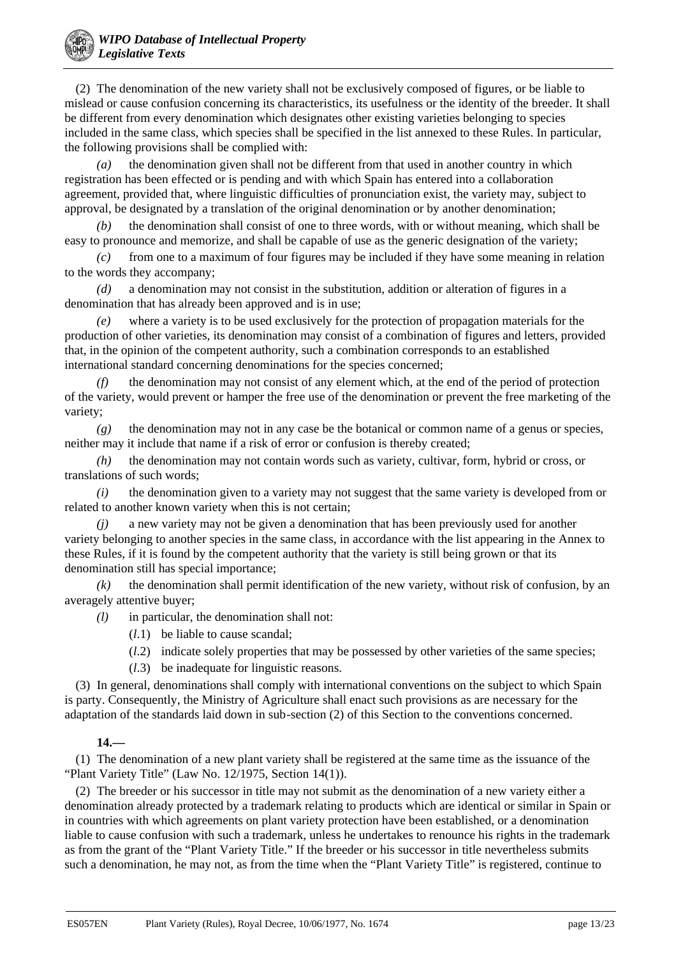

(2) The denomination of the new variety shall not be exclusively composed of figures, or be liable to mislead or cause confusion concerning its characteristics, its usefulness or the identity of the breeder. It shall be different from every denomination which designates other existing varieties belonging to species included in the same class, which species shall be specified in the list annexed to these Rules. In particular, the following provisions shall be complied with:

*(a)* the denomination given shall not be different from that used in another country in which registration has been effected or is pending and with which Spain has entered into a collaboration agreement, provided that, where linguistic difficulties of pronunciation exist, the variety may, subject to approval, be designated by a translation of the original denomination or by another denomination;

*(b)* the denomination shall consist of one to three words, with or without meaning, which shall be easy to pronounce and memorize, and shall be capable of use as the generic designation of the variety;

*(c)* from one to a maximum of four figures may be included if they have some meaning in relation to the words they accompany;

*(d)* a denomination may not consist in the substitution, addition or alteration of figures in a denomination that has already been approved and is in use;

*(e)* where a variety is to be used exclusively for the protection of propagation materials for the production of other varieties, its denomination may consist of a combination of figures and letters, provided that, in the opinion of the competent authority, such a combination corresponds to an established international standard concerning denominations for the species concerned;

*(f)* the denomination may not consist of any element which, at the end of the period of protection of the variety, would prevent or hamper the free use of the denomination or prevent the free marketing of the variety;

*(g)* the denomination may not in any case be the botanical or common name of a genus or species, neither may it include that name if a risk of error or confusion is thereby created;

*(h)* the denomination may not contain words such as variety, cultivar, form, hybrid or cross, or translations of such words;

*(i)* the denomination given to a variety may not suggest that the same variety is developed from or related to another known variety when this is not certain;

*(j)* a new variety may not be given a denomination that has been previously used for another variety belonging to another species in the same class, in accordance with the list appearing in the Annex to these Rules, if it is found by the competent authority that the variety is still being grown or that its denomination still has special importance;

*(k)* the denomination shall permit identification of the new variety, without risk of confusion, by an averagely attentive buyer;

*(l)* in particular, the denomination shall not:

- (*l*.1) be liable to cause scandal;
- (*l*.2) indicate solely properties that may be possessed by other varieties of the same species;
- (*l*.3) be inadequate for linguistic reasons.

(3) In general, denominations shall comply with international conventions on the subject to which Spain is party. Consequently, the Ministry of Agriculture shall enact such provisions as are necessary for the adaptation of the standards laid down in sub-section (2) of this Section to the conventions concerned.

### **14.—**

(1) The denomination of a new plant variety shall be registered at the same time as the issuance of the "Plant Variety Title" (Law No. 12/1975, Section 14(1)).

(2) The breeder or his successor in title may not submit as the denomination of a new variety either a denomination already protected by a trademark relating to products which are identical or similar in Spain or in countries with which agreements on plant variety protection have been established, or a denomination liable to cause confusion with such a trademark, unless he undertakes to renounce his rights in the trademark as from the grant of the "Plant Variety Title." If the breeder or his successor in title nevertheless submits such a denomination, he may not, as from the time when the "Plant Variety Title" is registered, continue to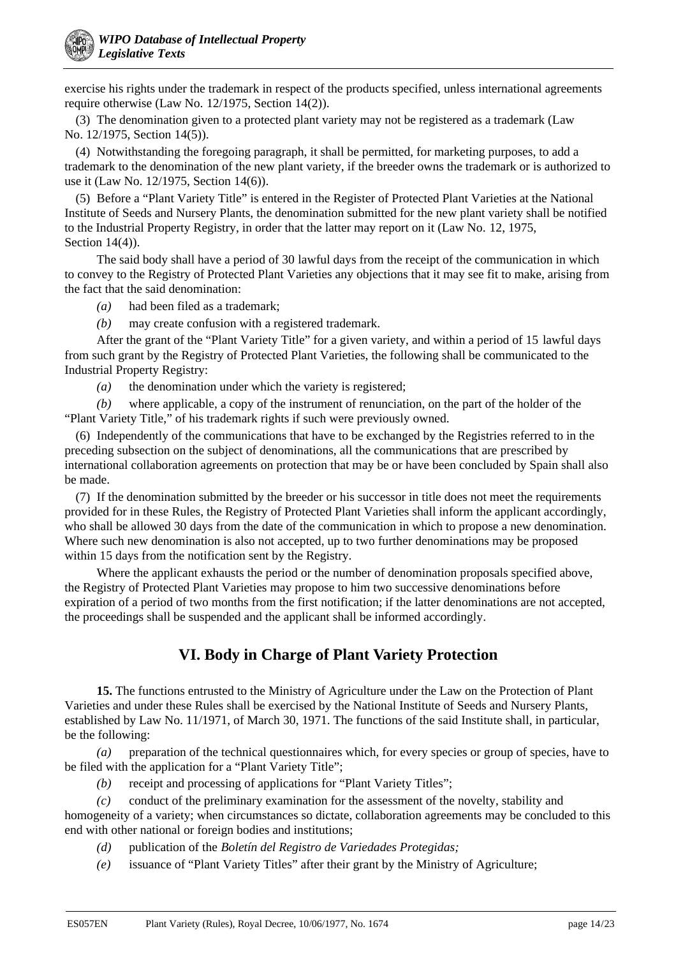exercise his rights under the trademark in respect of the products specified, unless international agreements require otherwise (Law No. 12/1975, Section 14(2)).

(3) The denomination given to a protected plant variety may not be registered as a trademark (Law No. 12/1975, Section 14(5)).

(4) Notwithstanding the foregoing paragraph, it shall be permitted, for marketing purposes, to add a trademark to the denomination of the new plant variety, if the breeder owns the trademark or is authorized to use it (Law No. 12/1975, Section 14(6)).

(5) Before a "Plant Variety Title" is entered in the Register of Protected Plant Varieties at the National Institute of Seeds and Nursery Plants, the denomination submitted for the new plant variety shall be notified to the Industrial Property Registry, in order that the latter may report on it (Law No. 12, 1975, Section 14(4)).

The said body shall have a period of 30 lawful days from the receipt of the communication in which to convey to the Registry of Protected Plant Varieties any objections that it may see fit to make, arising from the fact that the said denomination:

*(a)* had been filed as a trademark;

*(b)* may create confusion with a registered trademark.

After the grant of the "Plant Variety Title" for a given variety, and within a period of 15 lawful days from such grant by the Registry of Protected Plant Varieties, the following shall be communicated to the Industrial Property Registry:

*(a)* the denomination under which the variety is registered;

*(b)* where applicable, a copy of the instrument of renunciation, on the part of the holder of the "Plant Variety Title," of his trademark rights if such were previously owned.

(6) Independently of the communications that have to be exchanged by the Registries referred to in the preceding subsection on the subject of denominations, all the communications that are prescribed by international collaboration agreements on protection that may be or have been concluded by Spain shall also be made.

(7) If the denomination submitted by the breeder or his successor in title does not meet the requirements provided for in these Rules, the Registry of Protected Plant Varieties shall inform the applicant accordingly, who shall be allowed 30 days from the date of the communication in which to propose a new denomination. Where such new denomination is also not accepted, up to two further denominations may be proposed within 15 days from the notification sent by the Registry.

Where the applicant exhausts the period or the number of denomination proposals specified above, the Registry of Protected Plant Varieties may propose to him two successive denominations before expiration of a period of two months from the first notification; if the latter denominations are not accepted, the proceedings shall be suspended and the applicant shall be informed accordingly.

# **VI. Body in Charge of Plant Variety Protection**

**15.** The functions entrusted to the Ministry of Agriculture under the Law on the Protection of Plant Varieties and under these Rules shall be exercised by the National Institute of Seeds and Nursery Plants, established by Law No. 11/1971, of March 30, 1971. The functions of the said Institute shall, in particular, be the following:

*(a)* preparation of the technical questionnaires which, for every species or group of species, have to be filed with the application for a "Plant Variety Title";

*(b)* receipt and processing of applications for "Plant Variety Titles";

*(c)* conduct of the preliminary examination for the assessment of the novelty, stability and homogeneity of a variety; when circumstances so dictate, collaboration agreements may be concluded to this

end with other national or foreign bodies and institutions;

*(d)* publication of the *Boletín del Registro de Variedades Protegidas;*

*(e)* issuance of "Plant Variety Titles" after their grant by the Ministry of Agriculture;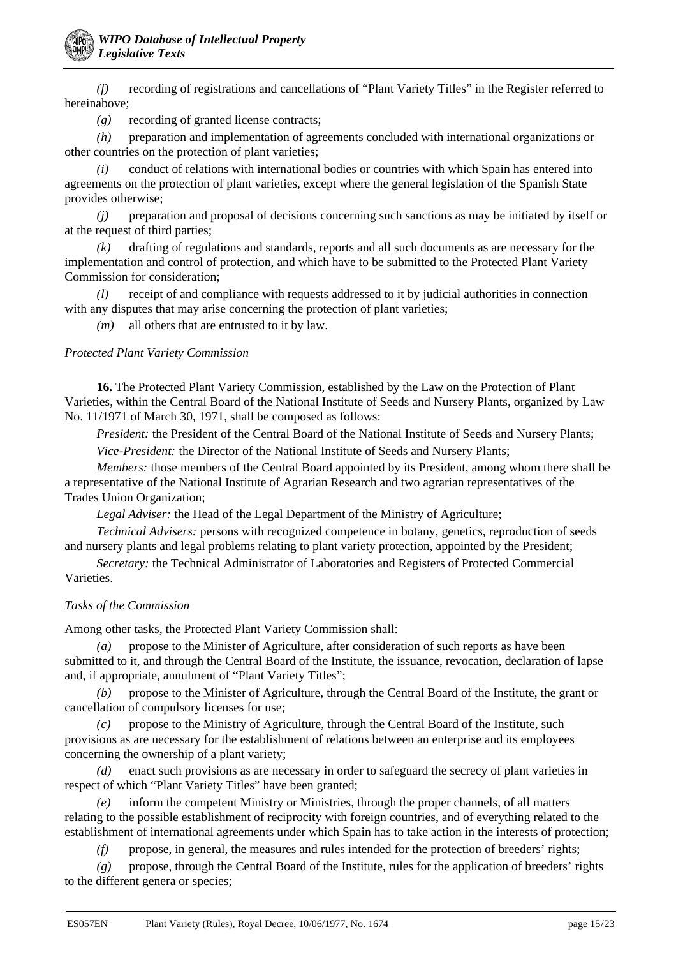*(f)* recording of registrations and cancellations of "Plant Variety Titles" in the Register referred to hereinabove;

*(g)* recording of granted license contracts;

*(h)* preparation and implementation of agreements concluded with international organizations or other countries on the protection of plant varieties;

*(i)* conduct of relations with international bodies or countries with which Spain has entered into agreements on the protection of plant varieties, except where the general legislation of the Spanish State provides otherwise;

*(j)* preparation and proposal of decisions concerning such sanctions as may be initiated by itself or at the request of third parties;

*(k)* drafting of regulations and standards, reports and all such documents as are necessary for the implementation and control of protection, and which have to be submitted to the Protected Plant Variety Commission for consideration;

*(l)* receipt of and compliance with requests addressed to it by judicial authorities in connection with any disputes that may arise concerning the protection of plant varieties;

*(m)* all others that are entrusted to it by law.

### *Protected Plant Variety Commission*

**16.** The Protected Plant Variety Commission, established by the Law on the Protection of Plant Varieties, within the Central Board of the National Institute of Seeds and Nursery Plants, organized by Law No. 11/1971 of March 30, 1971, shall be composed as follows:

*President:* the President of the Central Board of the National Institute of Seeds and Nursery Plants; *Vice-President:* the Director of the National Institute of Seeds and Nursery Plants;

*Members:* those members of the Central Board appointed by its President, among whom there shall be a representative of the National Institute of Agrarian Research and two agrarian representatives of the Trades Union Organization;

*Legal Adviser:* the Head of the Legal Department of the Ministry of Agriculture;

*Technical Advisers:* persons with recognized competence in botany, genetics, reproduction of seeds and nursery plants and legal problems relating to plant variety protection, appointed by the President;

*Secretary:* the Technical Administrator of Laboratories and Registers of Protected Commercial Varieties.

## *Tasks of the Commission*

Among other tasks, the Protected Plant Variety Commission shall:

*(a)* propose to the Minister of Agriculture, after consideration of such reports as have been submitted to it, and through the Central Board of the Institute, the issuance, revocation, declaration of lapse and, if appropriate, annulment of "Plant Variety Titles";

*(b)* propose to the Minister of Agriculture, through the Central Board of the Institute, the grant or cancellation of compulsory licenses for use;

*(c)* propose to the Ministry of Agriculture, through the Central Board of the Institute, such provisions as are necessary for the establishment of relations between an enterprise and its employees concerning the ownership of a plant variety;

*(d)* enact such provisions as are necessary in order to safeguard the secrecy of plant varieties in respect of which "Plant Variety Titles" have been granted;

*(e)* inform the competent Ministry or Ministries, through the proper channels, of all matters relating to the possible establishment of reciprocity with foreign countries, and of everything related to the establishment of international agreements under which Spain has to take action in the interests of protection;

*(f)* propose, in general, the measures and rules intended for the protection of breeders' rights;

*(g)* propose, through the Central Board of the Institute, rules for the application of breeders' rights to the different genera or species;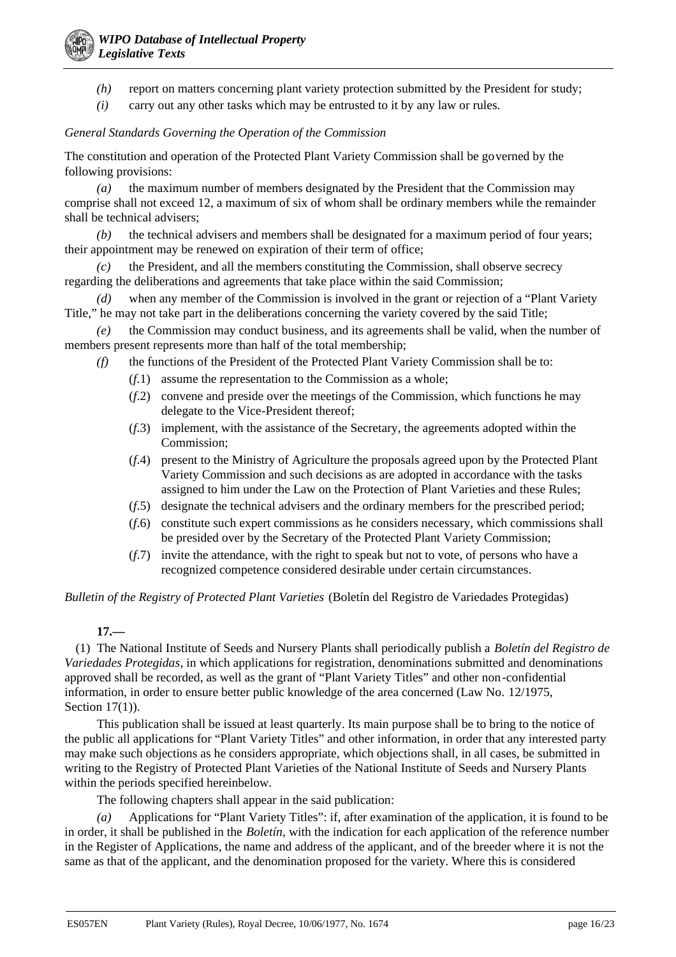- *(h)* report on matters concerning plant variety protection submitted by the President for study;
- *(i)* carry out any other tasks which may be entrusted to it by any law or rules.

### *General Standards Governing the Operation of the Commission*

The constitution and operation of the Protected Plant Variety Commission shall be governed by the following provisions:

*(a)* the maximum number of members designated by the President that the Commission may comprise shall not exceed 12, a maximum of six of whom shall be ordinary members while the remainder shall be technical advisers;

*(b)* the technical advisers and members shall be designated for a maximum period of four years; their appointment may be renewed on expiration of their term of office;

*(c)* the President, and all the members constituting the Commission, shall observe secrecy regarding the deliberations and agreements that take place within the said Commission;

*(d)* when any member of the Commission is involved in the grant or rejection of a "Plant Variety Title," he may not take part in the deliberations concerning the variety covered by the said Title;

*(e)* the Commission may conduct business, and its agreements shall be valid, when the number of members present represents more than half of the total membership;

- *(f)* the functions of the President of the Protected Plant Variety Commission shall be to:
	- (*f*.1) assume the representation to the Commission as a whole;
	- (*f*.2) convene and preside over the meetings of the Commission, which functions he may delegate to the Vice-President thereof;
	- (*f*.3) implement, with the assistance of the Secretary, the agreements adopted within the Commission;
	- (*f*.4) present to the Ministry of Agriculture the proposals agreed upon by the Protected Plant Variety Commission and such decisions as are adopted in accordance with the tasks assigned to him under the Law on the Protection of Plant Varieties and these Rules;
	- (*f*.5) designate the technical advisers and the ordinary members for the prescribed period;
	- (*f*.6) constitute such expert commissions as he considers necessary, which commissions shall be presided over by the Secretary of the Protected Plant Variety Commission;
	- (*f*.7) invite the attendance, with the right to speak but not to vote, of persons who have a recognized competence considered desirable under certain circumstances.

*Bulletin of the Registry of Protected Plant Varieties* (Boletín del Registro de Variedades Protegidas)

### **17.—**

(1) The National Institute of Seeds and Nursery Plants shall periodically publish a *Boletín del Registro de Variedades Protegidas*, in which applications for registration, denominations submitted and denominations approved shall be recorded, as well as the grant of "Plant Variety Titles" and other non-confidential information, in order to ensure better public knowledge of the area concerned (Law No. 12/1975, Section 17(1)).

This publication shall be issued at least quarterly. Its main purpose shall be to bring to the notice of the public all applications for "Plant Variety Titles" and other information, in order that any interested party may make such objections as he considers appropriate, which objections shall, in all cases, be submitted in writing to the Registry of Protected Plant Varieties of the National Institute of Seeds and Nursery Plants within the periods specified hereinbelow.

The following chapters shall appear in the said publication:

*(a)* Applications for "Plant Variety Titles": if, after examination of the application, it is found to be in order, it shall be published in the *Boletín*, with the indication for each application of the reference number in the Register of Applications, the name and address of the applicant, and of the breeder where it is not the same as that of the applicant, and the denomination proposed for the variety. Where this is considered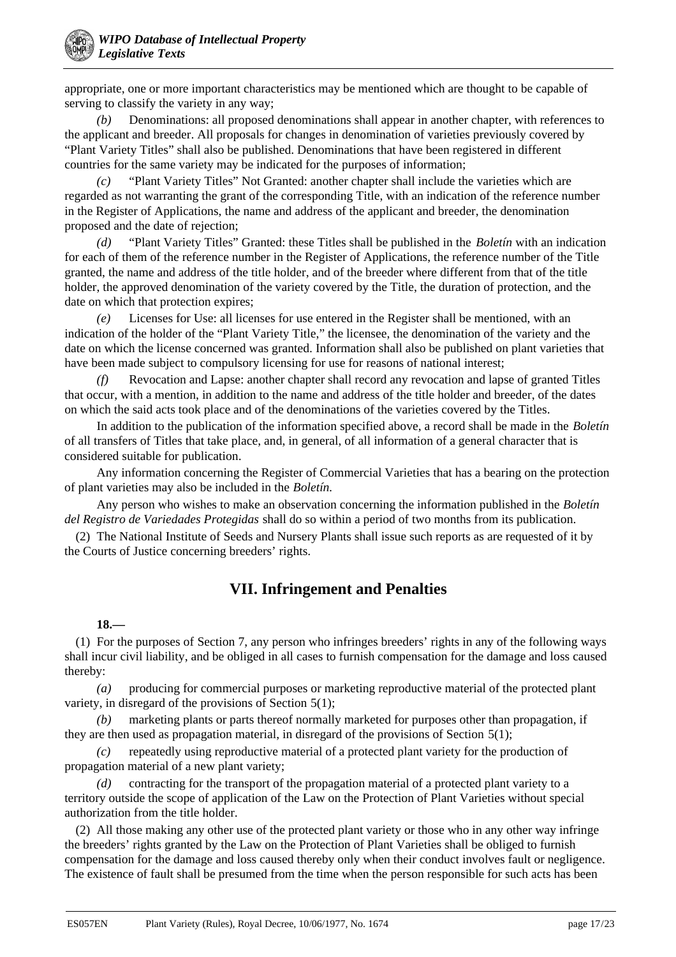appropriate, one or more important characteristics may be mentioned which are thought to be capable of serving to classify the variety in any way;

*(b)* Denominations: all proposed denominations shall appear in another chapter, with references to the applicant and breeder. All proposals for changes in denomination of varieties previously covered by "Plant Variety Titles" shall also be published. Denominations that have been registered in different countries for the same variety may be indicated for the purposes of information;

*(c)* "Plant Variety Titles" Not Granted: another chapter shall include the varieties which are regarded as not warranting the grant of the corresponding Title, with an indication of the reference number in the Register of Applications, the name and address of the applicant and breeder, the denomination proposed and the date of rejection;

*(d)* "Plant Variety Titles" Granted: these Titles shall be published in the *Boletín* with an indication for each of them of the reference number in the Register of Applications, the reference number of the Title granted, the name and address of the title holder, and of the breeder where different from that of the title holder, the approved denomination of the variety covered by the Title, the duration of protection, and the date on which that protection expires;

*(e)* Licenses for Use: all licenses for use entered in the Register shall be mentioned, with an indication of the holder of the "Plant Variety Title," the licensee, the denomination of the variety and the date on which the license concerned was granted. Information shall also be published on plant varieties that have been made subject to compulsory licensing for use for reasons of national interest;

*(f)* Revocation and Lapse: another chapter shall record any revocation and lapse of granted Titles that occur, with a mention, in addition to the name and address of the title holder and breeder, of the dates on which the said acts took place and of the denominations of the varieties covered by the Titles.

In addition to the publication of the information specified above, a record shall be made in the *Boletín* of all transfers of Titles that take place, and, in general, of all information of a general character that is considered suitable for publication.

Any information concerning the Register of Commercial Varieties that has a bearing on the protection of plant varieties may also be included in the *Boletín.*

Any person who wishes to make an observation concerning the information published in the *Boletín del Registro de Variedades Protegidas* shall do so within a period of two months from its publication.

(2) The National Institute of Seeds and Nursery Plants shall issue such reports as are requested of it by the Courts of Justice concerning breeders' rights.

## **VII. Infringement and Penalties**

## **18.—**

(1) For the purposes of Section 7, any person who infringes breeders' rights in any of the following ways shall incur civil liability, and be obliged in all cases to furnish compensation for the damage and loss caused thereby:

*(a)* producing for commercial purposes or marketing reproductive material of the protected plant variety, in disregard of the provisions of Section 5(1);

*(b)* marketing plants or parts thereof normally marketed for purposes other than propagation, if they are then used as propagation material, in disregard of the provisions of Section 5(1);

*(c)* repeatedly using reproductive material of a protected plant variety for the production of propagation material of a new plant variety;

*(d)* contracting for the transport of the propagation material of a protected plant variety to a territory outside the scope of application of the Law on the Protection of Plant Varieties without special authorization from the title holder.

(2) All those making any other use of the protected plant variety or those who in any other way infringe the breeders' rights granted by the Law on the Protection of Plant Varieties shall be obliged to furnish compensation for the damage and loss caused thereby only when their conduct involves fault or negligence. The existence of fault shall be presumed from the time when the person responsible for such acts has been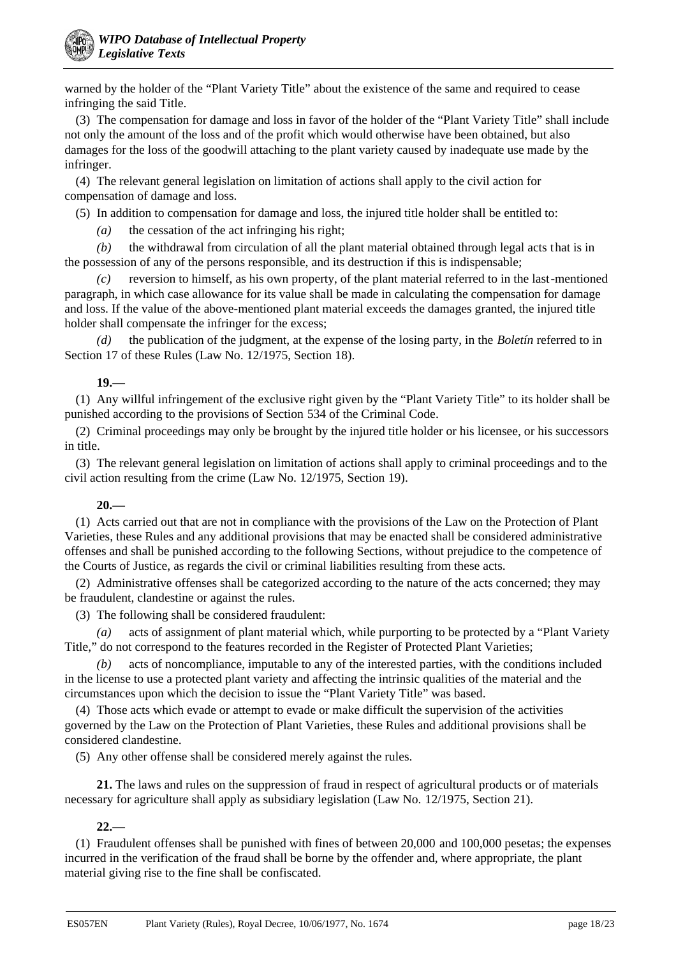warned by the holder of the "Plant Variety Title" about the existence of the same and required to cease infringing the said Title.

(3) The compensation for damage and loss in favor of the holder of the "Plant Variety Title" shall include not only the amount of the loss and of the profit which would otherwise have been obtained, but also damages for the loss of the goodwill attaching to the plant variety caused by inadequate use made by the infringer.

(4) The relevant general legislation on limitation of actions shall apply to the civil action for compensation of damage and loss.

(5) In addition to compensation for damage and loss, the injured title holder shall be entitled to:

*(a)* the cessation of the act infringing his right;

*(b)* the withdrawal from circulation of all the plant material obtained through legal acts that is in the possession of any of the persons responsible, and its destruction if this is indispensable;

*(c)* reversion to himself, as his own property, of the plant material referred to in the last-mentioned paragraph, in which case allowance for its value shall be made in calculating the compensation for damage and loss. If the value of the above-mentioned plant material exceeds the damages granted, the injured title holder shall compensate the infringer for the excess;

*(d)* the publication of the judgment, at the expense of the losing party, in the *Boletín* referred to in Section 17 of these Rules (Law No. 12/1975, Section 18).

## **19.—**

(1) Any willful infringement of the exclusive right given by the "Plant Variety Title" to its holder shall be punished according to the provisions of Section 534 of the Criminal Code.

(2) Criminal proceedings may only be brought by the injured title holder or his licensee, or his successors in title.

(3) The relevant general legislation on limitation of actions shall apply to criminal proceedings and to the civil action resulting from the crime (Law No. 12/1975, Section 19).

## **20.—**

(1) Acts carried out that are not in compliance with the provisions of the Law on the Protection of Plant Varieties, these Rules and any additional provisions that may be enacted shall be considered administrative offenses and shall be punished according to the following Sections, without prejudice to the competence of the Courts of Justice, as regards the civil or criminal liabilities resulting from these acts.

(2) Administrative offenses shall be categorized according to the nature of the acts concerned; they may be fraudulent, clandestine or against the rules.

(3) The following shall be considered fraudulent:

*(a)* acts of assignment of plant material which, while purporting to be protected by a "Plant Variety Title," do not correspond to the features recorded in the Register of Protected Plant Varieties;

*(b)* acts of noncompliance, imputable to any of the interested parties, with the conditions included in the license to use a protected plant variety and affecting the intrinsic qualities of the material and the circumstances upon which the decision to issue the "Plant Variety Title" was based.

(4) Those acts which evade or attempt to evade or make difficult the supervision of the activities governed by the Law on the Protection of Plant Varieties, these Rules and additional provisions shall be considered clandestine.

(5) Any other offense shall be considered merely against the rules.

**21.** The laws and rules on the suppression of fraud in respect of agricultural products or of materials necessary for agriculture shall apply as subsidiary legislation (Law No. 12/1975, Section 21).

## **22.—**

(1) Fraudulent offenses shall be punished with fines of between 20,000 and 100,000 pesetas; the expenses incurred in the verification of the fraud shall be borne by the offender and, where appropriate, the plant material giving rise to the fine shall be confiscated.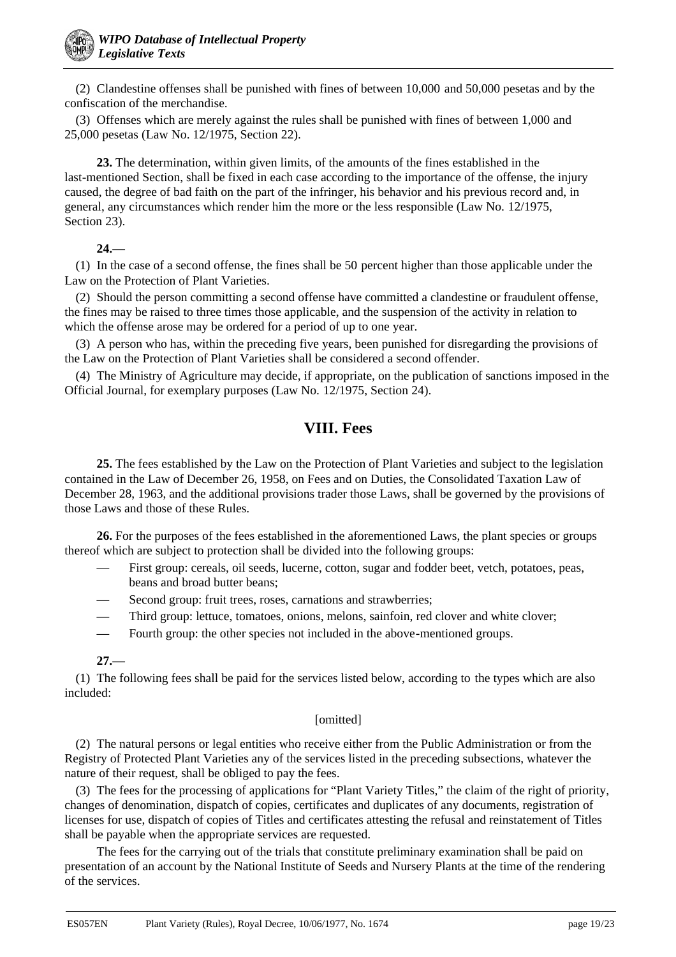(2) Clandestine offenses shall be punished with fines of between 10,000 and 50,000 pesetas and by the confiscation of the merchandise.

(3) Offenses which are merely against the rules shall be punished with fines of between 1,000 and 25,000 pesetas (Law No. 12/1975, Section 22).

**23.** The determination, within given limits, of the amounts of the fines established in the last-mentioned Section, shall be fixed in each case according to the importance of the offense, the injury caused, the degree of bad faith on the part of the infringer, his behavior and his previous record and, in general, any circumstances which render him the more or the less responsible (Law No. 12/1975, Section 23).

### **24.—**

(1) In the case of a second offense, the fines shall be 50 percent higher than those applicable under the Law on the Protection of Plant Varieties.

(2) Should the person committing a second offense have committed a clandestine or fraudulent offense, the fines may be raised to three times those applicable, and the suspension of the activity in relation to which the offense arose may be ordered for a period of up to one year.

(3) A person who has, within the preceding five years, been punished for disregarding the provisions of the Law on the Protection of Plant Varieties shall be considered a second offender.

(4) The Ministry of Agriculture may decide, if appropriate, on the publication of sanctions imposed in the Official Journal, for exemplary purposes (Law No. 12/1975, Section 24).

## **VIII. Fees**

**25.** The fees established by the Law on the Protection of Plant Varieties and subject to the legislation contained in the Law of December 26, 1958, on Fees and on Duties, the Consolidated Taxation Law of December 28, 1963, and the additional provisions trader those Laws, shall be governed by the provisions of those Laws and those of these Rules.

**26.** For the purposes of the fees established in the aforementioned Laws, the plant species or groups thereof which are subject to protection shall be divided into the following groups:

- First group: cereals, oil seeds, lucerne, cotton, sugar and fodder beet, vetch, potatoes, peas, beans and broad butter beans;
- Second group: fruit trees, roses, carnations and strawberries;
- Third group: lettuce, tomatoes, onions, melons, sainfoin, red clover and white clover;
- Fourth group: the other species not included in the above-mentioned groups.

## **27.—**

(1) The following fees shall be paid for the services listed below, according to the types which are also included:

## [omitted]

(2) The natural persons or legal entities who receive either from the Public Administration or from the Registry of Protected Plant Varieties any of the services listed in the preceding subsections, whatever the nature of their request, shall be obliged to pay the fees.

(3) The fees for the processing of applications for "Plant Variety Titles," the claim of the right of priority, changes of denomination, dispatch of copies, certificates and duplicates of any documents, registration of licenses for use, dispatch of copies of Titles and certificates attesting the refusal and reinstatement of Titles shall be payable when the appropriate services are requested.

The fees for the carrying out of the trials that constitute preliminary examination shall be paid on presentation of an account by the National Institute of Seeds and Nursery Plants at the time of the rendering of the services.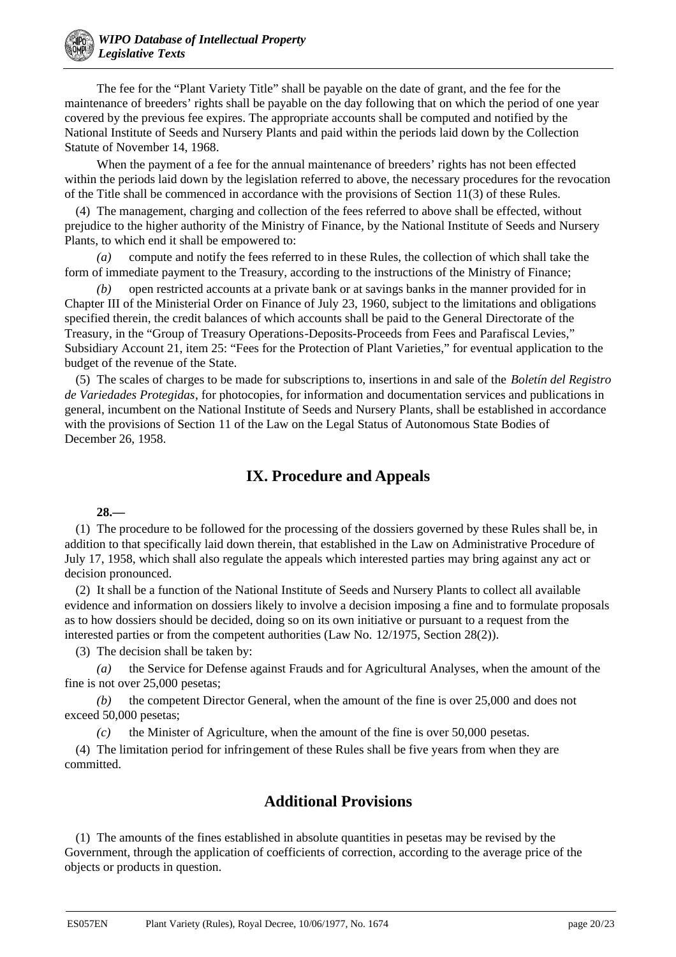The fee for the "Plant Variety Title" shall be payable on the date of grant, and the fee for the maintenance of breeders' rights shall be payable on the day following that on which the period of one year covered by the previous fee expires. The appropriate accounts shall be computed and notified by the National Institute of Seeds and Nursery Plants and paid within the periods laid down by the Collection Statute of November 14, 1968.

When the payment of a fee for the annual maintenance of breeders' rights has not been effected within the periods laid down by the legislation referred to above, the necessary procedures for the revocation of the Title shall be commenced in accordance with the provisions of Section 11(3) of these Rules.

(4) The management, charging and collection of the fees referred to above shall be effected, without prejudice to the higher authority of the Ministry of Finance, by the National Institute of Seeds and Nursery Plants, to which end it shall be empowered to:

*(a)* compute and notify the fees referred to in these Rules, the collection of which shall take the form of immediate payment to the Treasury, according to the instructions of the Ministry of Finance;

*(b)* open restricted accounts at a private bank or at savings banks in the manner provided for in Chapter III of the Ministerial Order on Finance of July 23, 1960, subject to the limitations and obligations specified therein, the credit balances of which accounts shall be paid to the General Directorate of the Treasury, in the "Group of Treasury Operations-Deposits-Proceeds from Fees and Parafiscal Levies," Subsidiary Account 21, item 25: "Fees for the Protection of Plant Varieties," for eventual application to the budget of the revenue of the State.

(5) The scales of charges to be made for subscriptions to, insertions in and sale of the *Boletín del Registro de Variedades Protegidas*, for photocopies, for information and documentation services and publications in general, incumbent on the National Institute of Seeds and Nursery Plants, shall be established in accordance with the provisions of Section 11 of the Law on the Legal Status of Autonomous State Bodies of December 26, 1958.

## **IX. Procedure and Appeals**

### **28.—**

(1) The procedure to be followed for the processing of the dossiers governed by these Rules shall be, in addition to that specifically laid down therein, that established in the Law on Administrative Procedure of July 17, 1958, which shall also regulate the appeals which interested parties may bring against any act or decision pronounced.

(2) It shall be a function of the National Institute of Seeds and Nursery Plants to collect all available evidence and information on dossiers likely to involve a decision imposing a fine and to formulate proposals as to how dossiers should be decided, doing so on its own initiative or pursuant to a request from the interested parties or from the competent authorities (Law No. 12/1975, Section 28(2)).

(3) The decision shall be taken by:

*(a)* the Service for Defense against Frauds and for Agricultural Analyses, when the amount of the fine is not over 25,000 pesetas;

*(b)* the competent Director General, when the amount of the fine is over 25,000 and does not exceed 50,000 pesetas;

*(c)* the Minister of Agriculture, when the amount of the fine is over 50,000 pesetas.

(4) The limitation period for infringement of these Rules shall be five years from when they are committed.

## **Additional Provisions**

(1) The amounts of the fines established in absolute quantities in pesetas may be revised by the Government, through the application of coefficients of correction, according to the average price of the objects or products in question.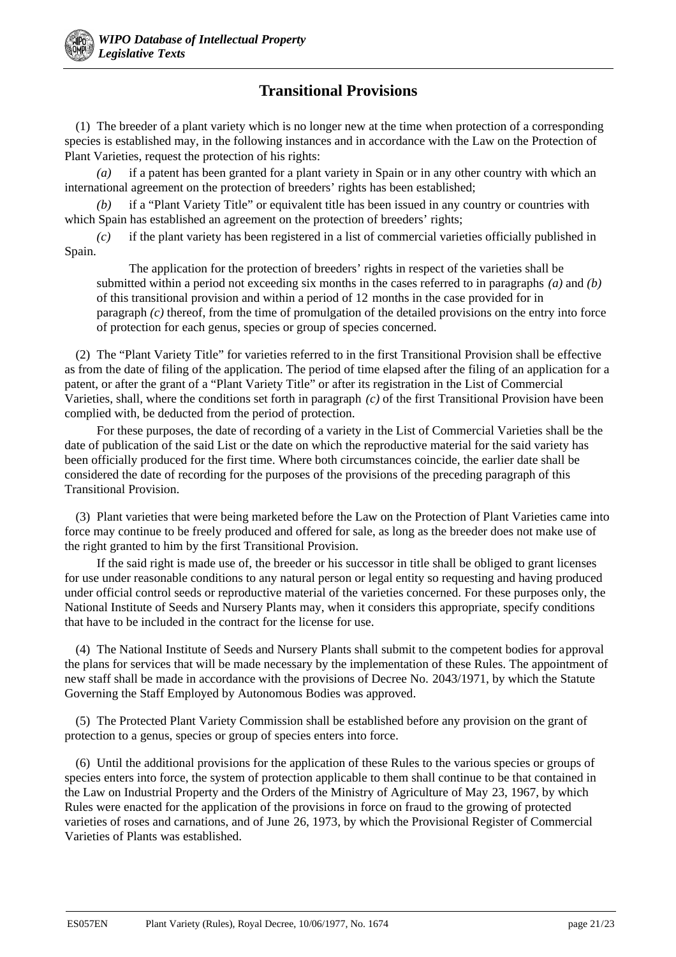# **Transitional Provisions**

(1) The breeder of a plant variety which is no longer new at the time when protection of a corresponding species is established may, in the following instances and in accordance with the Law on the Protection of Plant Varieties, request the protection of his rights:

*(a)* if a patent has been granted for a plant variety in Spain or in any other country with which an international agreement on the protection of breeders' rights has been established;

*(b)* if a "Plant Variety Title" or equivalent title has been issued in any country or countries with which Spain has established an agreement on the protection of breeders' rights;

*(c)* if the plant variety has been registered in a list of commercial varieties officially published in Spain.

The application for the protection of breeders' rights in respect of the varieties shall be submitted within a period not exceeding six months in the cases referred to in paragraphs *(a)* and *(b)* of this transitional provision and within a period of 12 months in the case provided for in paragraph *(c)* thereof, from the time of promulgation of the detailed provisions on the entry into force of protection for each genus, species or group of species concerned.

(2) The "Plant Variety Title" for varieties referred to in the first Transitional Provision shall be effective as from the date of filing of the application. The period of time elapsed after the filing of an application for a patent, or after the grant of a "Plant Variety Title" or after its registration in the List of Commercial Varieties, shall, where the conditions set forth in paragraph *(c)* of the first Transitional Provision have been complied with, be deducted from the period of protection.

For these purposes, the date of recording of a variety in the List of Commercial Varieties shall be the date of publication of the said List or the date on which the reproductive material for the said variety has been officially produced for the first time. Where both circumstances coincide, the earlier date shall be considered the date of recording for the purposes of the provisions of the preceding paragraph of this Transitional Provision.

(3) Plant varieties that were being marketed before the Law on the Protection of Plant Varieties came into force may continue to be freely produced and offered for sale, as long as the breeder does not make use of the right granted to him by the first Transitional Provision.

If the said right is made use of, the breeder or his successor in title shall be obliged to grant licenses for use under reasonable conditions to any natural person or legal entity so requesting and having produced under official control seeds or reproductive material of the varieties concerned. For these purposes only, the National Institute of Seeds and Nursery Plants may, when it considers this appropriate, specify conditions that have to be included in the contract for the license for use.

(4) The National Institute of Seeds and Nursery Plants shall submit to the competent bodies for approval the plans for services that will be made necessary by the implementation of these Rules. The appointment of new staff shall be made in accordance with the provisions of Decree No. 2043/1971, by which the Statute Governing the Staff Employed by Autonomous Bodies was approved.

(5) The Protected Plant Variety Commission shall be established before any provision on the grant of protection to a genus, species or group of species enters into force.

(6) Until the additional provisions for the application of these Rules to the various species or groups of species enters into force, the system of protection applicable to them shall continue to be that contained in the Law on Industrial Property and the Orders of the Ministry of Agriculture of May 23, 1967, by which Rules were enacted for the application of the provisions in force on fraud to the growing of protected varieties of roses and carnations, and of June 26, 1973, by which the Provisional Register of Commercial Varieties of Plants was established.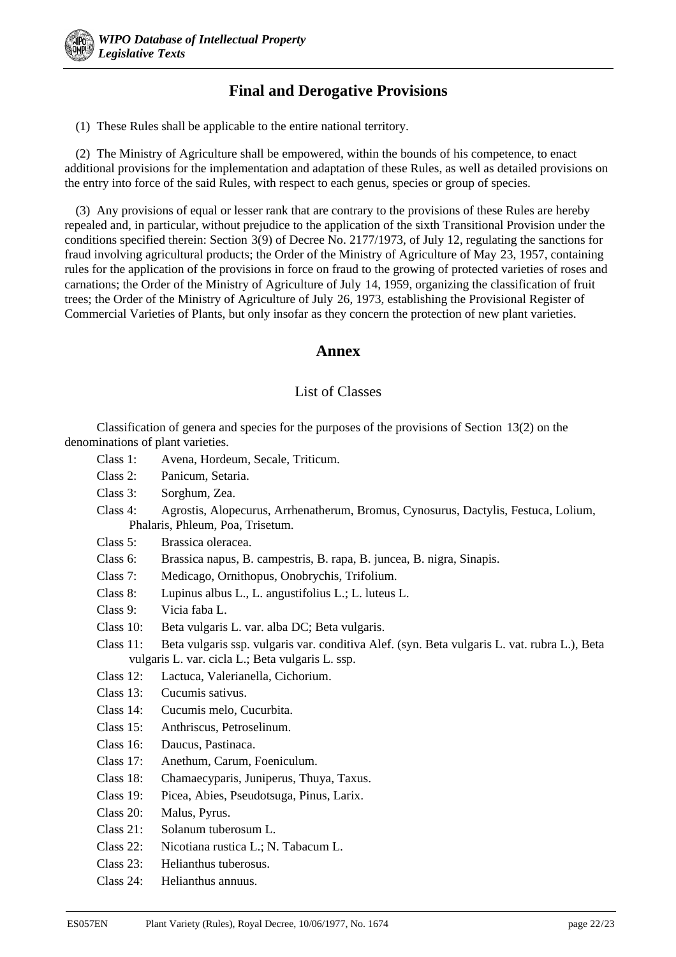# **Final and Derogative Provisions**

(1) These Rules shall be applicable to the entire national territory.

(2) The Ministry of Agriculture shall be empowered, within the bounds of his competence, to enact additional provisions for the implementation and adaptation of these Rules, as well as detailed provisions on the entry into force of the said Rules, with respect to each genus, species or group of species.

(3) Any provisions of equal or lesser rank that are contrary to the provisions of these Rules are hereby repealed and, in particular, without prejudice to the application of the sixth Transitional Provision under the conditions specified therein: Section 3(9) of Decree No. 2177/1973, of July 12, regulating the sanctions for fraud involving agricultural products; the Order of the Ministry of Agriculture of May 23, 1957, containing rules for the application of the provisions in force on fraud to the growing of protected varieties of roses and carnations; the Order of the Ministry of Agriculture of July 14, 1959, organizing the classification of fruit trees; the Order of the Ministry of Agriculture of July 26, 1973, establishing the Provisional Register of Commercial Varieties of Plants, but only insofar as they concern the protection of new plant varieties.

## **Annex**

## List of Classes

Classification of genera and species for the purposes of the provisions of Section 13(2) on the denominations of plant varieties.

- Class 1: Avena, Hordeum, Secale, Triticum.
- Class 2: Panicum, Setaria.
- Class 3: Sorghum, Zea.
- Class 4: Agrostis, Alopecurus, Arrhenatherum, Bromus, Cynosurus, Dactylis, Festuca, Lolium, Phalaris, Phleum, Poa, Trisetum.
- Class 5: Brassica oleracea.
- Class 6: Brassica napus, B. campestris, B. rapa, B. juncea, B. nigra, Sinapis.
- Class 7: Medicago, Ornithopus, Onobrychis, Trifolium.
- Class 8: Lupinus albus L., L. angustifolius L.; L. luteus L.
- Class 9: Vicia faba L.
- Class 10: Beta vulgaris L. var. alba DC; Beta vulgaris.
- Class 11: Beta vulgaris ssp. vulgaris var. conditiva Alef. (syn. Beta vulgaris L. vat. rubra L.), Beta vulgaris L. var. cicla L.; Beta vulgaris L. ssp.
- Class 12: Lactuca, Valerianella, Cichorium.
- Class 13: Cucumis sativus.
- Class 14: Cucumis melo, Cucurbita.
- Class 15: Anthriscus, Petroselinum.
- Class 16: Daucus, Pastinaca.
- Class 17: Anethum, Carum, Foeniculum.
- Class 18: Chamaecyparis, Juniperus, Thuya, Taxus.
- Class 19: Picea, Abies, Pseudotsuga, Pinus, Larix.
- Class 20: Malus, Pyrus.
- Class 21: Solanum tuberosum L.
- Class 22: Nicotiana rustica L.; N. Tabacum L.
- Class 23: Helianthus tuberosus.
- Class 24: Helianthus annuus.